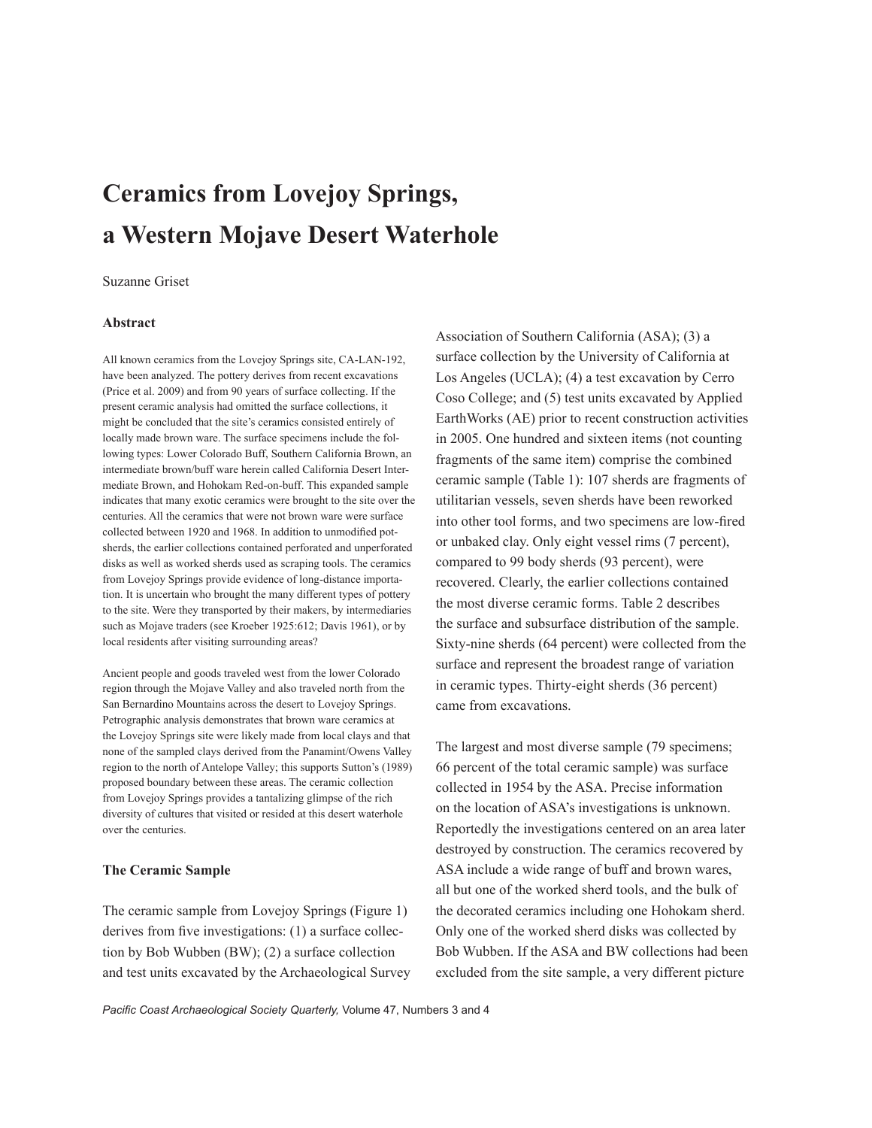# **Ceramics from Lovejoy Springs, a Western Mojave Desert Waterhole**

## Suzanne Griset

#### **Abstract**

All known ceramics from the Lovejoy Springs site, CA-LAN-192, have been analyzed. The pottery derives from recent excavations (Price et al. 2009) and from 90 years of surface collecting. If the present ceramic analysis had omitted the surface collections, it might be concluded that the site's ceramics consisted entirely of locally made brown ware. The surface specimens include the following types: Lower Colorado Buff, Southern California Brown, an intermediate brown/buff ware herein called California Desert Intermediate Brown, and Hohokam Red-on-buff. This expanded sample indicates that many exotic ceramics were brought to the site over the centuries. All the ceramics that were not brown ware were surface collected between 1920 and 1968. In addition to unmodified potsherds, the earlier collections contained perforated and unperforated disks as well as worked sherds used as scraping tools. The ceramics from Lovejoy Springs provide evidence of long-distance importation. It is uncertain who brought the many different types of pottery to the site. Were they transported by their makers, by intermediaries such as Mojave traders (see Kroeber 1925:612; Davis 1961), or by local residents after visiting surrounding areas?

Ancient people and goods traveled west from the lower Colorado region through the Mojave Valley and also traveled north from the San Bernardino Mountains across the desert to Lovejoy Springs. Petrographic analysis demonstrates that brown ware ceramics at the Lovejoy Springs site were likely made from local clays and that none of the sampled clays derived from the Panamint/Owens Valley region to the north of Antelope Valley; this supports Sutton's (1989) proposed boundary between these areas. The ceramic collection from Lovejoy Springs provides a tantalizing glimpse of the rich diversity of cultures that visited or resided at this desert waterhole over the centuries.

#### **The Ceramic Sample**

The ceramic sample from Lovejoy Springs (Figure 1) derives from five investigations: (1) a surface collection by Bob Wubben (BW); (2) a surface collection and test units excavated by the Archaeological Survey Association of Southern California (ASA); (3) a surface collection by the University of California at Los Angeles (UCLA); (4) a test excavation by Cerro Coso College; and (5) test units excavated by Applied EarthWorks (AE) prior to recent construction activities in 2005. One hundred and sixteen items (not counting fragments of the same item) comprise the combined ceramic sample (Table 1): 107 sherds are fragments of utilitarian vessels, seven sherds have been reworked into other tool forms, and two specimens are low-fired or unbaked clay. Only eight vessel rims (7 percent), compared to 99 body sherds (93 percent), were recovered. Clearly, the earlier collections contained the most diverse ceramic forms. Table 2 describes the surface and subsurface distribution of the sample. Sixty-nine sherds (64 percent) were collected from the surface and represent the broadest range of variation in ceramic types. Thirty-eight sherds (36 percent) came from excavations.

The largest and most diverse sample (79 specimens; 66 percent of the total ceramic sample) was surface collected in 1954 by the ASA. Precise information on the location of ASA's investigations is unknown. Reportedly the investigations centered on an area later destroyed by construction. The ceramics recovered by ASA include a wide range of buff and brown wares, all but one of the worked sherd tools, and the bulk of the decorated ceramics including one Hohokam sherd. Only one of the worked sherd disks was collected by Bob Wubben. If the ASA and BW collections had been excluded from the site sample, a very different picture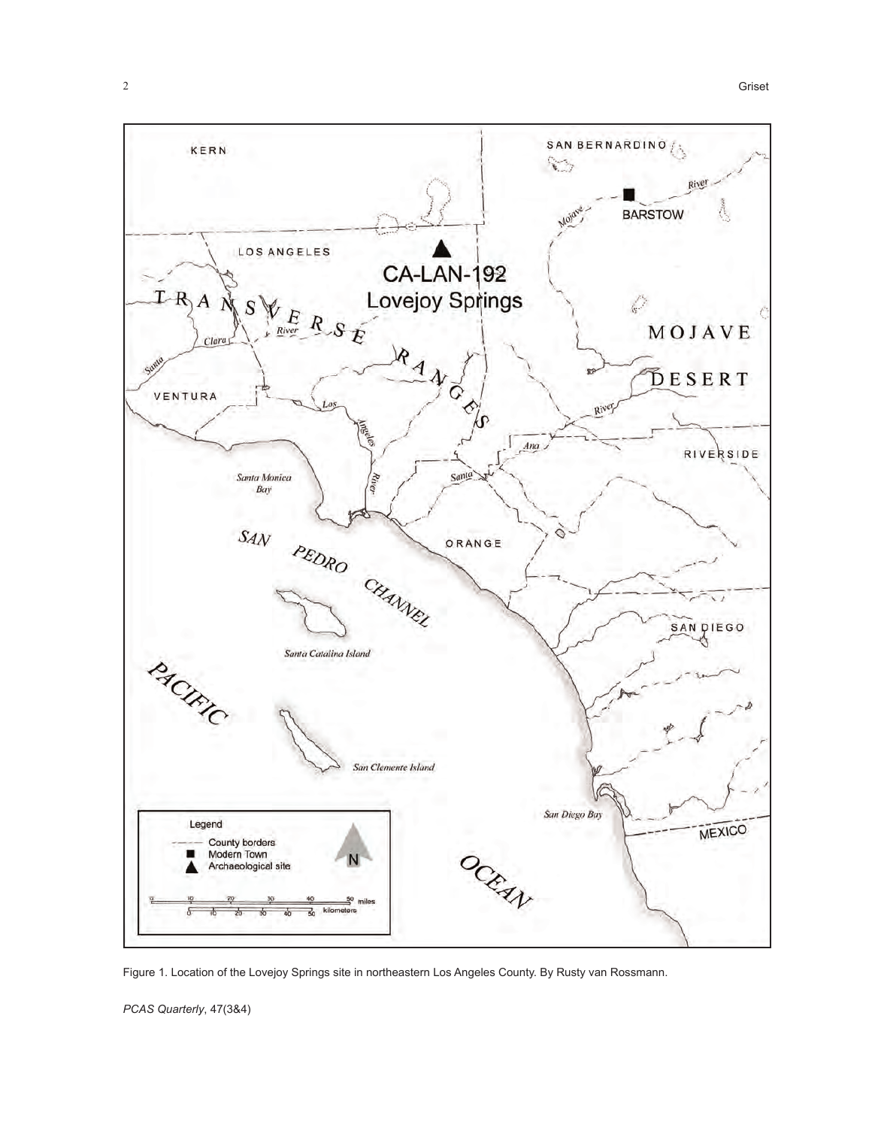

Figure 1. Location of the Lovejoy Springs site in northeastern Los Angeles County. By Rusty van Rossmann.

*PCAS Quarterly*, 47(3&4)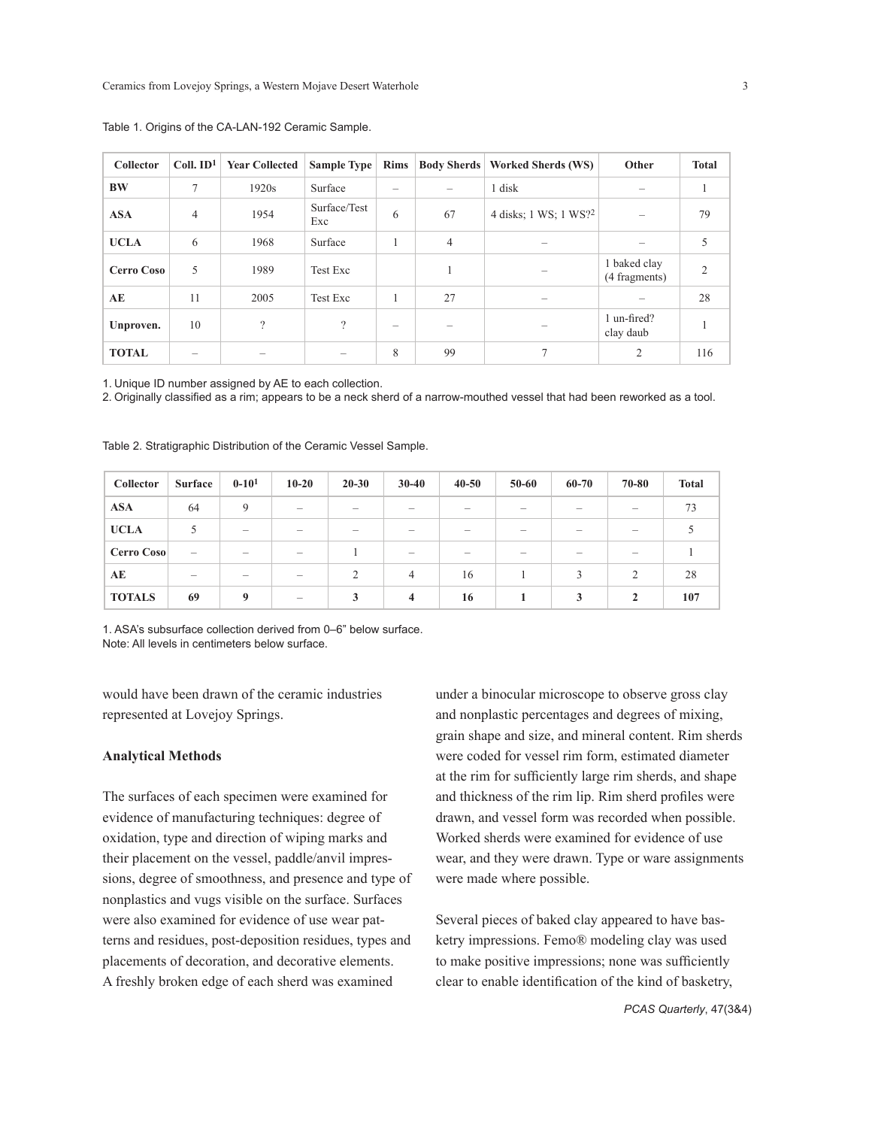| <b>Collector</b>  | $Coll. ID1$ | <b>Year Collected</b> | <b>Sample Type</b>  | <b>Rims</b>              |                          | <b>Body Sherds   Worked Sherds (WS)</b> | Other                         | <b>Total</b> |
|-------------------|-------------|-----------------------|---------------------|--------------------------|--------------------------|-----------------------------------------|-------------------------------|--------------|
| <b>BW</b>         | $\tau$      | 1920s                 | Surface             |                          |                          | 1 disk                                  |                               |              |
| <b>ASA</b>        | 4           | 1954                  | Surface/Test<br>Exc | 6                        | 67                       | 4 disks; 1 WS; 1 WS?2                   |                               | 79           |
| <b>UCLA</b>       | 6           | 1968                  | Surface             |                          | $\overline{4}$           |                                         |                               | 5            |
| <b>Cerro Coso</b> | 5           | 1989                  | Test Exc            |                          | л.                       |                                         | 1 baked clay<br>(4 fragments) | 2            |
| AE                | 11          | 2005                  | <b>Test Exc</b>     |                          | 27                       |                                         |                               | 28           |
| Unproven.         | 10          | $\gamma$              | $\gamma$            | $\overline{\phantom{0}}$ | $\overline{\phantom{a}}$ |                                         | 1 un-fired?<br>clay daub      |              |
| <b>TOTAL</b>      |             |                       | -                   | 8                        | 99                       |                                         | 2                             | 116          |

Table 1. Origins of the CA-LAN-192 Ceramic Sample.

1. Unique ID number assigned by AE to each collection.

2. Originally classified as a rim; appears to be a neck sherd of a narrow-mouthed vessel that had been reworked as a tool.

| Collector     | <b>Surface</b>           | $0 - 10^{1}$             | $10 - 20$                | $20 - 30$                | $30 - 40$                | $40 - 50$                | $50 - 60$                | 60-70 | 70-80                    | <b>Total</b> |
|---------------|--------------------------|--------------------------|--------------------------|--------------------------|--------------------------|--------------------------|--------------------------|-------|--------------------------|--------------|
| <b>ASA</b>    | 64                       | 9                        | $\overline{\phantom{a}}$ | $\overline{\phantom{a}}$ | $\overline{\phantom{a}}$ | $\overline{\phantom{a}}$ | -                        |       | -                        | 73           |
| <b>UCLA</b>   |                          | $\overline{\phantom{a}}$ | $\overline{\phantom{a}}$ | $\overline{\phantom{a}}$ | $\overline{\phantom{a}}$ |                          | $\overline{\phantom{a}}$ |       | -                        |              |
| Cerro Coso    | $\overline{\phantom{0}}$ | -                        | $\overline{\phantom{a}}$ |                          | $\overline{\phantom{a}}$ |                          |                          |       |                          |              |
| AE            | $\overline{\phantom{0}}$ | $\overline{\phantom{0}}$ | $\overline{\phantom{a}}$ | $\overline{2}$           | $\overline{4}$           | 16                       |                          | 3     | $\mathfrak{D}_{1}^{(1)}$ | 28           |
| <b>TOTALS</b> | 69                       | 9                        | $\overline{\phantom{0}}$ | 3                        | $\overline{\mathbf{4}}$  | 16                       |                          | 3     | $\mathbf{2}$             | 107          |

Table 2. Stratigraphic Distribution of the Ceramic Vessel Sample.

1. ASA's subsurface collection derived from 0–6" below surface. Note: All levels in centimeters below surface.

would have been drawn of the ceramic industries represented at Lovejoy Springs.

## **Analytical Methods**

The surfaces of each specimen were examined for evidence of manufacturing techniques: degree of oxidation, type and direction of wiping marks and their placement on the vessel, paddle/anvil impressions, degree of smoothness, and presence and type of nonplastics and vugs visible on the surface. Surfaces were also examined for evidence of use wear patterns and residues, post-deposition residues, types and placements of decoration, and decorative elements. A freshly broken edge of each sherd was examined

under a binocular microscope to observe gross clay and nonplastic percentages and degrees of mixing, grain shape and size, and mineral content. Rim sherds were coded for vessel rim form, estimated diameter at the rim for sufficiently large rim sherds, and shape and thickness of the rim lip. Rim sherd profiles were drawn, and vessel form was recorded when possible. Worked sherds were examined for evidence of use wear, and they were drawn. Type or ware assignments were made where possible.

Several pieces of baked clay appeared to have basketry impressions. Femo® modeling clay was used to make positive impressions; none was sufficiently clear to enable identification of the kind of basketry,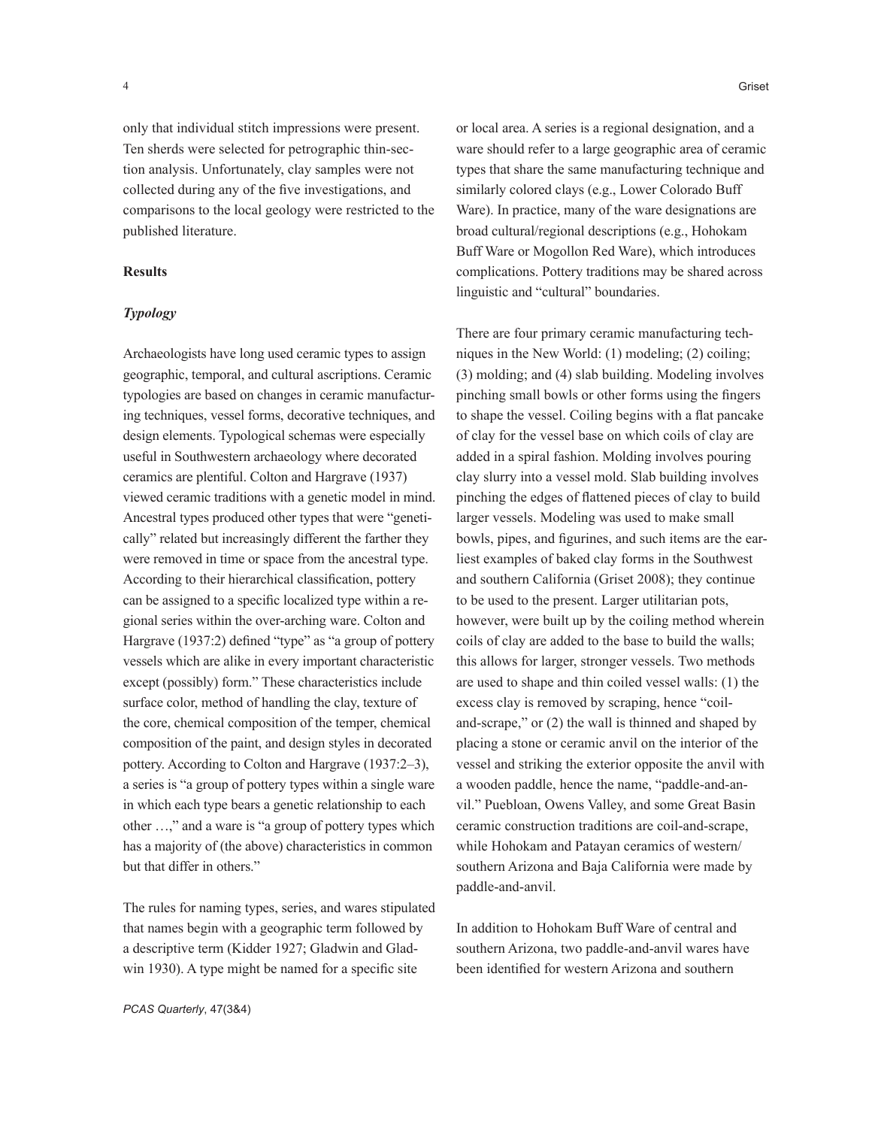only that individual stitch impressions were present. Ten sherds were selected for petrographic thin-section analysis. Unfortunately, clay samples were not collected during any of the five investigations, and comparisons to the local geology were restricted to the published literature.

## **Results**

## *Typology*

Archaeologists have long used ceramic types to assign geographic, temporal, and cultural ascriptions. Ceramic typologies are based on changes in ceramic manufacturing techniques, vessel forms, decorative techniques, and design elements. Typological schemas were especially useful in Southwestern archaeology where decorated ceramics are plentiful. Colton and Hargrave (1937) viewed ceramic traditions with a genetic model in mind. Ancestral types produced other types that were "genetically" related but increasingly different the farther they were removed in time or space from the ancestral type. According to their hierarchical classification, pottery can be assigned to a specific localized type within a regional series within the over-arching ware. Colton and Hargrave (1937:2) defined "type" as "a group of pottery vessels which are alike in every important characteristic except (possibly) form." These characteristics include surface color, method of handling the clay, texture of the core, chemical composition of the temper, chemical composition of the paint, and design styles in decorated pottery. According to Colton and Hargrave (1937:2–3), a series is "a group of pottery types within a single ware in which each type bears a genetic relationship to each other …," and a ware is "a group of pottery types which has a majority of (the above) characteristics in common but that differ in others."

The rules for naming types, series, and wares stipulated that names begin with a geographic term followed by a descriptive term (Kidder 1927; Gladwin and Gladwin 1930). A type might be named for a specific site

or local area. A series is a regional designation, and a ware should refer to a large geographic area of ceramic types that share the same manufacturing technique and similarly colored clays (e.g., Lower Colorado Buff Ware). In practice, many of the ware designations are broad cultural/regional descriptions (e.g., Hohokam Buff Ware or Mogollon Red Ware), which introduces complications. Pottery traditions may be shared across linguistic and "cultural" boundaries.

There are four primary ceramic manufacturing techniques in the New World: (1) modeling; (2) coiling; (3) molding; and (4) slab building. Modeling involves pinching small bowls or other forms using the fingers to shape the vessel. Coiling begins with a flat pancake of clay for the vessel base on which coils of clay are added in a spiral fashion. Molding involves pouring clay slurry into a vessel mold. Slab building involves pinching the edges of flattened pieces of clay to build larger vessels. Modeling was used to make small bowls, pipes, and figurines, and such items are the earliest examples of baked clay forms in the Southwest and southern California (Griset 2008); they continue to be used to the present. Larger utilitarian pots, however, were built up by the coiling method wherein coils of clay are added to the base to build the walls; this allows for larger, stronger vessels. Two methods are used to shape and thin coiled vessel walls: (1) the excess clay is removed by scraping, hence "coiland-scrape," or (2) the wall is thinned and shaped by placing a stone or ceramic anvil on the interior of the vessel and striking the exterior opposite the anvil with a wooden paddle, hence the name, "paddle-and-anvil." Puebloan, Owens Valley, and some Great Basin ceramic construction traditions are coil-and-scrape, while Hohokam and Patayan ceramics of western/ southern Arizona and Baja California were made by paddle-and-anvil.

In addition to Hohokam Buff Ware of central and southern Arizona, two paddle-and-anvil wares have been identified for western Arizona and southern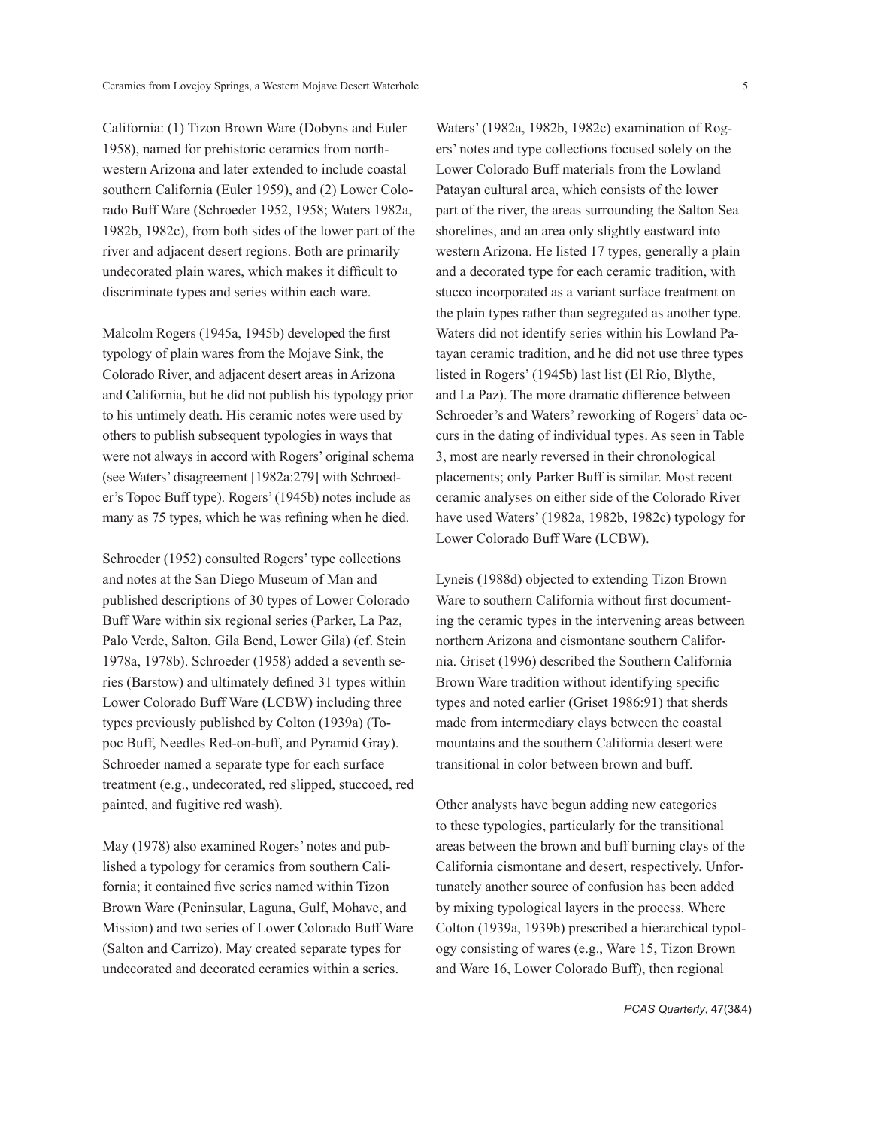California: (1) Tizon Brown Ware (Dobyns and Euler 1958), named for prehistoric ceramics from northwestern Arizona and later extended to include coastal southern California (Euler 1959), and (2) Lower Colorado Buff Ware (Schroeder 1952, 1958; Waters 1982a, 1982b, 1982c), from both sides of the lower part of the river and adjacent desert regions. Both are primarily undecorated plain wares, which makes it difficult to discriminate types and series within each ware.

Malcolm Rogers (1945a, 1945b) developed the first typology of plain wares from the Mojave Sink, the Colorado River, and adjacent desert areas in Arizona and California, but he did not publish his typology prior to his untimely death. His ceramic notes were used by others to publish subsequent typologies in ways that were not always in accord with Rogers' original schema (see Waters' disagreement [1982a:279] with Schroeder's Topoc Buff type). Rogers' (1945b) notes include as many as 75 types, which he was refining when he died.

Schroeder (1952) consulted Rogers' type collections and notes at the San Diego Museum of Man and published descriptions of 30 types of Lower Colorado Buff Ware within six regional series (Parker, La Paz, Palo Verde, Salton, Gila Bend, Lower Gila) (cf. Stein 1978a, 1978b). Schroeder (1958) added a seventh series (Barstow) and ultimately defined 31 types within Lower Colorado Buff Ware (LCBW) including three types previously published by Colton (1939a) (Topoc Buff, Needles Red-on-buff, and Pyramid Gray). Schroeder named a separate type for each surface treatment (e.g., undecorated, red slipped, stuccoed, red painted, and fugitive red wash).

May (1978) also examined Rogers' notes and published a typology for ceramics from southern California; it contained five series named within Tizon Brown Ware (Peninsular, Laguna, Gulf, Mohave, and Mission) and two series of Lower Colorado Buff Ware (Salton and Carrizo). May created separate types for undecorated and decorated ceramics within a series.

Waters' (1982a, 1982b, 1982c) examination of Rogers' notes and type collections focused solely on the Lower Colorado Buff materials from the Lowland Patayan cultural area, which consists of the lower part of the river, the areas surrounding the Salton Sea shorelines, and an area only slightly eastward into western Arizona. He listed 17 types, generally a plain and a decorated type for each ceramic tradition, with stucco incorporated as a variant surface treatment on the plain types rather than segregated as another type. Waters did not identify series within his Lowland Patayan ceramic tradition, and he did not use three types listed in Rogers' (1945b) last list (El Rio, Blythe, and La Paz). The more dramatic difference between Schroeder's and Waters' reworking of Rogers' data occurs in the dating of individual types. As seen in Table 3, most are nearly reversed in their chronological placements; only Parker Buff is similar. Most recent ceramic analyses on either side of the Colorado River have used Waters' (1982a, 1982b, 1982c) typology for Lower Colorado Buff Ware (LCBW).

Lyneis (1988d) objected to extending Tizon Brown Ware to southern California without first documenting the ceramic types in the intervening areas between northern Arizona and cismontane southern California. Griset (1996) described the Southern California Brown Ware tradition without identifying specific types and noted earlier (Griset 1986:91) that sherds made from intermediary clays between the coastal mountains and the southern California desert were transitional in color between brown and buff.

Other analysts have begun adding new categories to these typologies, particularly for the transitional areas between the brown and buff burning clays of the California cismontane and desert, respectively. Unfortunately another source of confusion has been added by mixing typological layers in the process. Where Colton (1939a, 1939b) prescribed a hierarchical typology consisting of wares (e.g., Ware 15, Tizon Brown and Ware 16, Lower Colorado Buff), then regional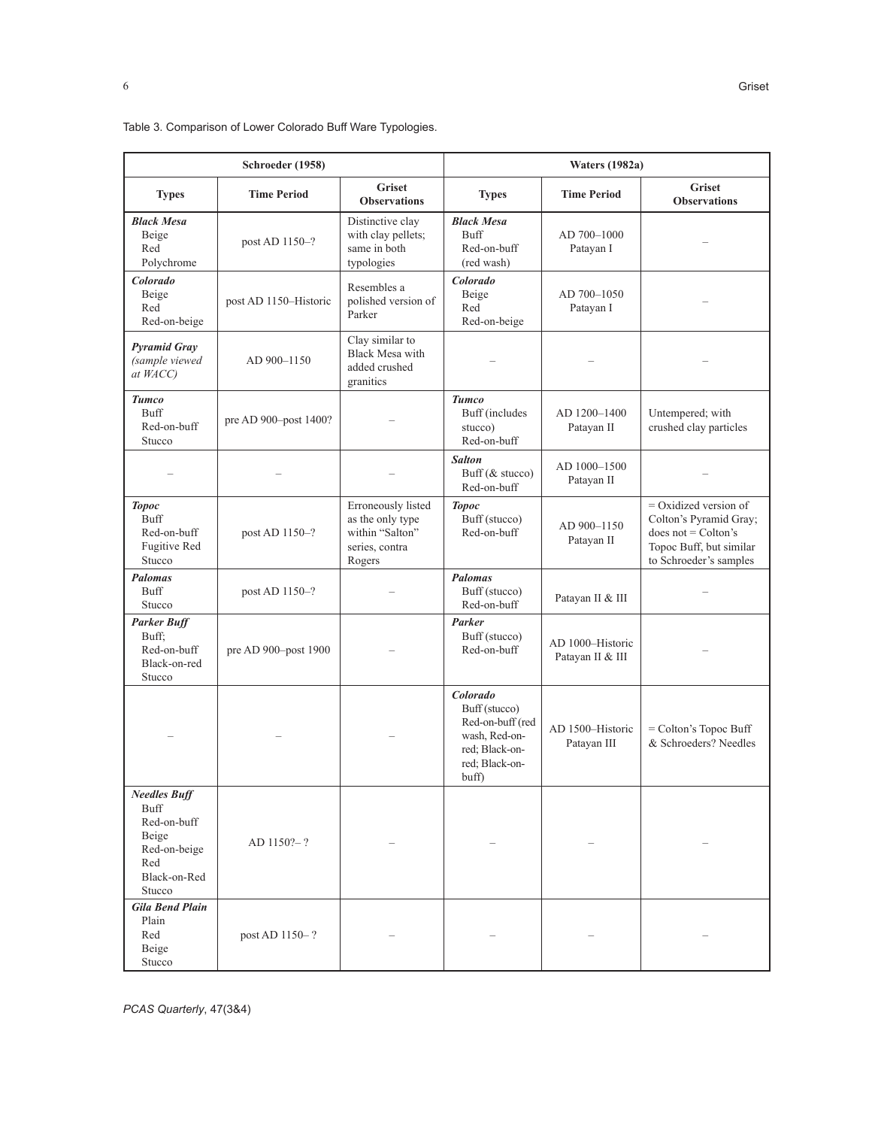|                                                                                                      | Schroeder (1958)      |                                                                                       | <b>Waters (1982a)</b>                                                                                       |                                      |                                                                                                                                 |  |
|------------------------------------------------------------------------------------------------------|-----------------------|---------------------------------------------------------------------------------------|-------------------------------------------------------------------------------------------------------------|--------------------------------------|---------------------------------------------------------------------------------------------------------------------------------|--|
| <b>Types</b>                                                                                         | <b>Time Period</b>    | <b>Griset</b><br><b>Observations</b>                                                  | <b>Types</b>                                                                                                | <b>Time Period</b>                   | <b>Griset</b><br><b>Observations</b>                                                                                            |  |
| <b>Black Mesa</b><br>Beige<br>Red<br>Polychrome                                                      | post AD 1150-?        | Distinctive clay<br>with clay pellets;<br>same in both<br>typologies                  | <b>Black Mesa</b><br><b>Buff</b><br>Red-on-buff<br>(red wash)                                               | AD 700-1000<br>Patayan I             |                                                                                                                                 |  |
| Colorado<br>Beige<br>Red<br>Red-on-beige                                                             | post AD 1150-Historic | Resembles a<br>polished version of<br>Parker                                          | Colorado<br>Beige<br>Red<br>Red-on-beige                                                                    | AD 700-1050<br>Patayan I             |                                                                                                                                 |  |
| <b>Pyramid Gray</b><br>(sample viewed<br>at WACC)                                                    | AD 900-1150           | Clay similar to<br><b>Black Mesa with</b><br>added crushed<br>granitics               |                                                                                                             |                                      |                                                                                                                                 |  |
| <b>Tumco</b><br><b>Buff</b><br>Red-on-buff<br>Stucco                                                 | pre AD 900-post 1400? |                                                                                       | <b>Tumco</b><br>Buff (includes<br>stucco)<br>Red-on-buff                                                    | AD 1200-1400<br>Patayan II           | Untempered; with<br>crushed clay particles                                                                                      |  |
|                                                                                                      |                       |                                                                                       | <b>Salton</b><br>Buff (& stucco)<br>Red-on-buff                                                             | AD 1000-1500<br>Patayan II           |                                                                                                                                 |  |
| <b>Topoc</b><br><b>Buff</b><br>Red-on-buff<br><b>Fugitive Red</b><br>Stucco                          | post AD 1150-?        | Erroneously listed<br>as the only type<br>within "Salton"<br>series, contra<br>Rogers | <b>Topoc</b><br>Buff (stucco)<br>Red-on-buff                                                                | AD 900-1150<br>Patayan II            | $=$ Oxidized version of<br>Colton's Pyramid Gray;<br>does not = $Colton's$<br>Topoc Buff, but similar<br>to Schroeder's samples |  |
| <b>Palomas</b><br><b>Buff</b><br>Stucco                                                              | post AD 1150-?        |                                                                                       | <b>Palomas</b><br>Buff (stucco)<br>Red-on-buff                                                              | Patayan II & III                     |                                                                                                                                 |  |
| <b>Parker Buff</b><br>Buff;<br>Red-on-buff<br>Black-on-red<br>Stucco                                 | pre AD 900-post 1900  |                                                                                       | Parker<br>Buff (stucco)<br>Red-on-buff                                                                      | AD 1000-Historic<br>Patayan II & III |                                                                                                                                 |  |
|                                                                                                      |                       |                                                                                       | Colorado<br>Buff (stucco)<br>Red-on-buff (red<br>wash, Red-on-<br>red; Black-on-<br>red; Black-on-<br>buff) | AD 1500-Historic<br>Patayan III      | $=$ Colton's Topoc Buff<br>& Schroeders? Needles                                                                                |  |
| <b>Needles Buff</b><br>Buff<br>Red-on-buff<br>Beige<br>Red-on-beige<br>Red<br>Black-on-Red<br>Stucco | $AD 1150? - ?$        |                                                                                       |                                                                                                             |                                      |                                                                                                                                 |  |
| <b>Gila Bend Plain</b><br>Plain<br>Red<br>Beige<br>Stucco                                            | post AD 1150-?        |                                                                                       |                                                                                                             |                                      |                                                                                                                                 |  |

Table 3. Comparison of Lower Colorado Buff Ware Typologies.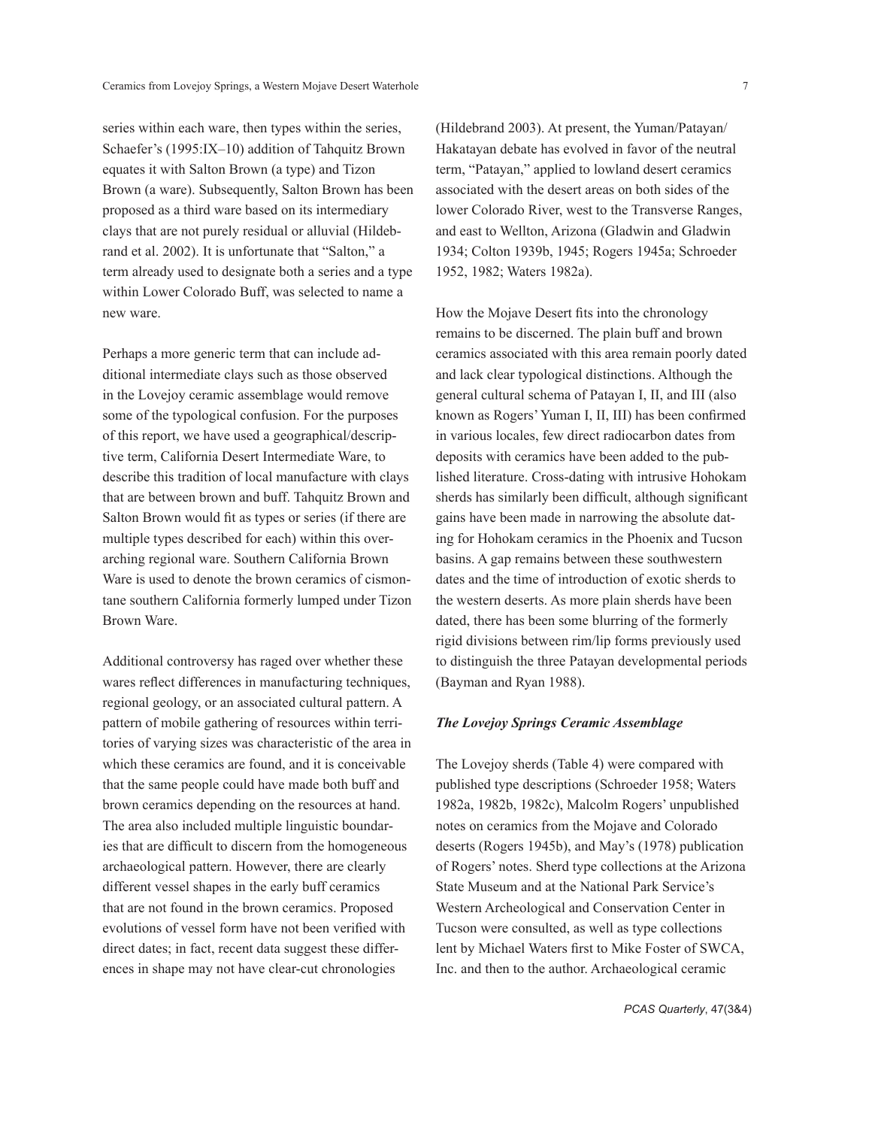series within each ware, then types within the series, Schaefer's (1995:IX–10) addition of Tahquitz Brown equates it with Salton Brown (a type) and Tizon Brown (a ware). Subsequently, Salton Brown has been proposed as a third ware based on its intermediary clays that are not purely residual or alluvial (Hildebrand et al. 2002). It is unfortunate that "Salton," a term already used to designate both a series and a type within Lower Colorado Buff, was selected to name a new ware.

Perhaps a more generic term that can include additional intermediate clays such as those observed in the Lovejoy ceramic assemblage would remove some of the typological confusion. For the purposes of this report, we have used a geographical/descriptive term, California Desert Intermediate Ware, to describe this tradition of local manufacture with clays that are between brown and buff. Tahquitz Brown and Salton Brown would fit as types or series (if there are multiple types described for each) within this overarching regional ware. Southern California Brown Ware is used to denote the brown ceramics of cismontane southern California formerly lumped under Tizon Brown Ware.

Additional controversy has raged over whether these wares reflect differences in manufacturing techniques, regional geology, or an associated cultural pattern. A pattern of mobile gathering of resources within territories of varying sizes was characteristic of the area in which these ceramics are found, and it is conceivable that the same people could have made both buff and brown ceramics depending on the resources at hand. The area also included multiple linguistic boundaries that are difficult to discern from the homogeneous archaeological pattern. However, there are clearly different vessel shapes in the early buff ceramics that are not found in the brown ceramics. Proposed evolutions of vessel form have not been verified with direct dates; in fact, recent data suggest these differences in shape may not have clear-cut chronologies

(Hildebrand 2003). At present, the Yuman/Patayan/ Hakatayan debate has evolved in favor of the neutral term, "Patayan," applied to lowland desert ceramics associated with the desert areas on both sides of the lower Colorado River, west to the Transverse Ranges, and east to Wellton, Arizona (Gladwin and Gladwin 1934; Colton 1939b, 1945; Rogers 1945a; Schroeder 1952, 1982; Waters 1982a).

How the Mojave Desert fits into the chronology remains to be discerned. The plain buff and brown ceramics associated with this area remain poorly dated and lack clear typological distinctions. Although the general cultural schema of Patayan I, II, and III (also known as Rogers' Yuman I, II, III) has been confirmed in various locales, few direct radiocarbon dates from deposits with ceramics have been added to the published literature. Cross-dating with intrusive Hohokam sherds has similarly been difficult, although significant gains have been made in narrowing the absolute dating for Hohokam ceramics in the Phoenix and Tucson basins. A gap remains between these southwestern dates and the time of introduction of exotic sherds to the western deserts. As more plain sherds have been dated, there has been some blurring of the formerly rigid divisions between rim/lip forms previously used to distinguish the three Patayan developmental periods (Bayman and Ryan 1988).

## *The Lovejoy Springs Ceramic Assemblage*

The Lovejoy sherds (Table 4) were compared with published type descriptions (Schroeder 1958; Waters 1982a, 1982b, 1982c), Malcolm Rogers' unpublished notes on ceramics from the Mojave and Colorado deserts (Rogers 1945b), and May's (1978) publication of Rogers' notes. Sherd type collections at the Arizona State Museum and at the National Park Service's Western Archeological and Conservation Center in Tucson were consulted, as well as type collections lent by Michael Waters first to Mike Foster of SWCA, Inc. and then to the author. Archaeological ceramic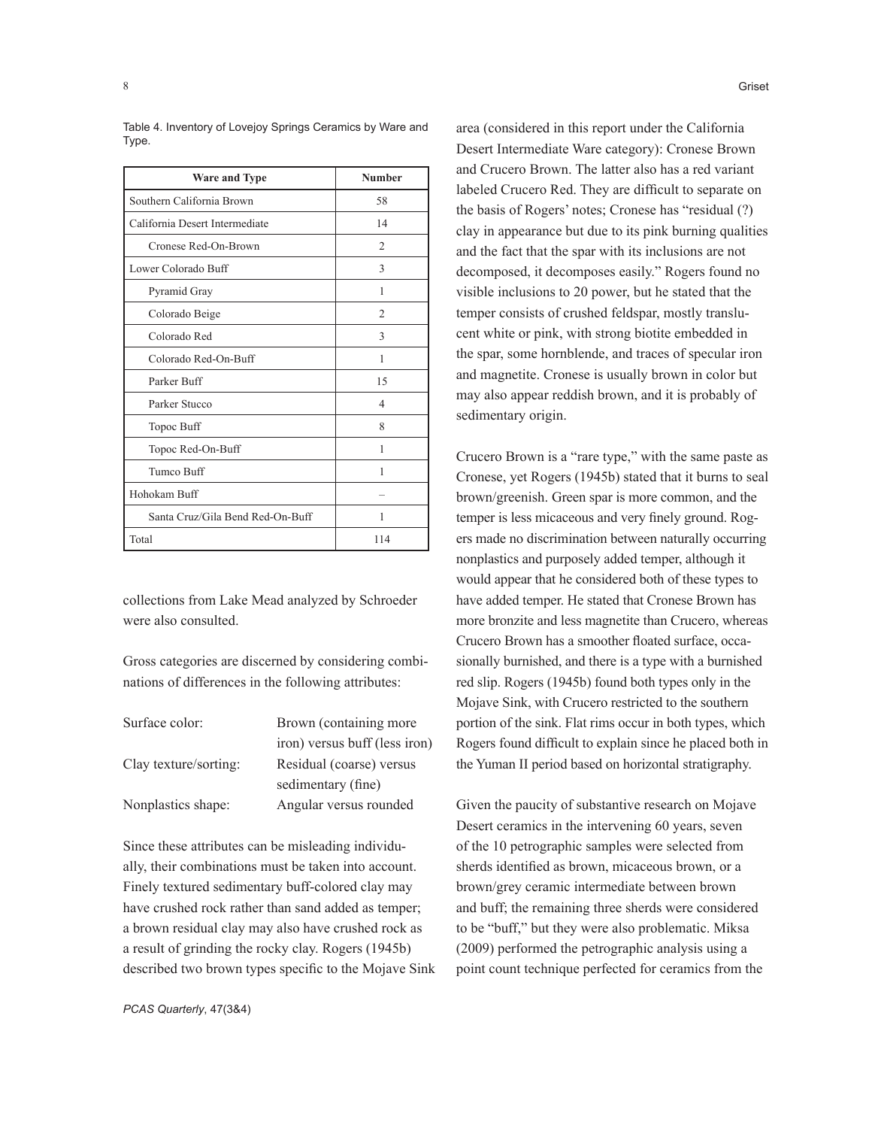| <b>Ware and Type</b>             | <b>Number</b>  |
|----------------------------------|----------------|
| Southern California Brown        | 58             |
| California Desert Intermediate   | 14             |
| Cronese Red-On-Brown             | $\mathcal{L}$  |
| Lower Colorado Buff              | 3              |
| Pyramid Gray                     | 1              |
| Colorado Beige                   | $\overline{2}$ |
| Colorado Red                     | 3              |
| Colorado Red-On-Buff             | 1              |
| Parker Buff                      | 15             |
| Parker Stucco                    | 4              |
| Topoc Buff                       | 8              |
| Topoc Red-On-Buff                | 1              |
| Tumco Buff                       | 1              |
| Hohokam Buff                     |                |
| Santa Cruz/Gila Bend Red-On-Buff | 1              |
| Total                            | 114            |

Table 4. Inventory of Lovejoy Springs Ceramics by Ware and Type.

collections from Lake Mead analyzed by Schroeder were also consulted.

Gross categories are discerned by considering combinations of differences in the following attributes:

| Surface color:        | Brown (containing more)       |
|-----------------------|-------------------------------|
|                       | iron) versus buff (less iron) |
| Clay texture/sorting: | Residual (coarse) versus      |
|                       | sedimentary (fine)            |
| Nonplastics shape:    | Angular versus rounded        |
|                       |                               |

Since these attributes can be misleading individually, their combinations must be taken into account. Finely textured sedimentary buff-colored clay may have crushed rock rather than sand added as temper; a brown residual clay may also have crushed rock as a result of grinding the rocky clay. Rogers (1945b) described two brown types specific to the Mojave Sink area (considered in this report under the California Desert Intermediate Ware category): Cronese Brown and Crucero Brown. The latter also has a red variant labeled Crucero Red. They are difficult to separate on the basis of Rogers' notes; Cronese has "residual (?) clay in appearance but due to its pink burning qualities and the fact that the spar with its inclusions are not decomposed, it decomposes easily." Rogers found no visible inclusions to 20 power, but he stated that the temper consists of crushed feldspar, mostly translucent white or pink, with strong biotite embedded in the spar, some hornblende, and traces of specular iron and magnetite. Cronese is usually brown in color but may also appear reddish brown, and it is probably of sedimentary origin.

Crucero Brown is a "rare type," with the same paste as Cronese, yet Rogers (1945b) stated that it burns to seal brown/greenish. Green spar is more common, and the temper is less micaceous and very finely ground. Rogers made no discrimination between naturally occurring nonplastics and purposely added temper, although it would appear that he considered both of these types to have added temper. He stated that Cronese Brown has more bronzite and less magnetite than Crucero, whereas Crucero Brown has a smoother floated surface, occasionally burnished, and there is a type with a burnished red slip. Rogers (1945b) found both types only in the Mojave Sink, with Crucero restricted to the southern portion of the sink. Flat rims occur in both types, which Rogers found difficult to explain since he placed both in the Yuman II period based on horizontal stratigraphy.

Given the paucity of substantive research on Mojave Desert ceramics in the intervening 60 years, seven of the 10 petrographic samples were selected from sherds identified as brown, micaceous brown, or a brown/grey ceramic intermediate between brown and buff; the remaining three sherds were considered to be "buff," but they were also problematic. Miksa (2009) performed the petrographic analysis using a point count technique perfected for ceramics from the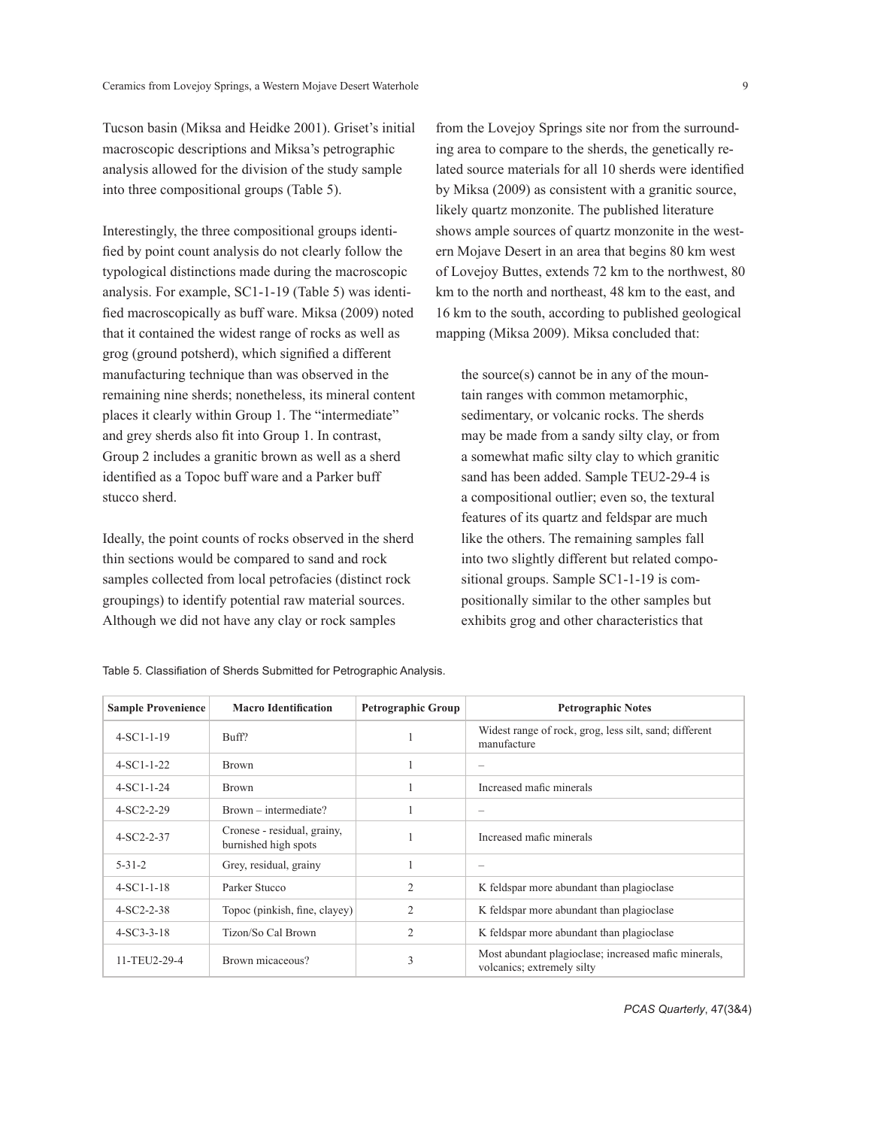Tucson basin (Miksa and Heidke 2001). Griset's initial macroscopic descriptions and Miksa's petrographic analysis allowed for the division of the study sample into three compositional groups (Table 5).

Interestingly, the three compositional groups identified by point count analysis do not clearly follow the typological distinctions made during the macroscopic analysis. For example, SC1-1-19 (Table 5) was identified macroscopically as buff ware. Miksa (2009) noted that it contained the widest range of rocks as well as grog (ground potsherd), which signified a different manufacturing technique than was observed in the remaining nine sherds; nonetheless, its mineral content places it clearly within Group 1. The "intermediate" and grey sherds also fit into Group 1. In contrast, Group 2 includes a granitic brown as well as a sherd identified as a Topoc buff ware and a Parker buff stucco sherd.

Ideally, the point counts of rocks observed in the sherd thin sections would be compared to sand and rock samples collected from local petrofacies (distinct rock groupings) to identify potential raw material sources. Although we did not have any clay or rock samples

from the Lovejoy Springs site nor from the surrounding area to compare to the sherds, the genetically related source materials for all 10 sherds were identified by Miksa (2009) as consistent with a granitic source, likely quartz monzonite. The published literature shows ample sources of quartz monzonite in the western Mojave Desert in an area that begins 80 km west of Lovejoy Buttes, extends 72 km to the northwest, 80 km to the north and northeast, 48 km to the east, and 16 km to the south, according to published geological mapping (Miksa 2009). Miksa concluded that:

the source(s) cannot be in any of the mountain ranges with common metamorphic, sedimentary, or volcanic rocks. The sherds may be made from a sandy silty clay, or from a somewhat mafic silty clay to which granitic sand has been added. Sample TEU2-29-4 is a compositional outlier; even so, the textural features of its quartz and feldspar are much like the others. The remaining samples fall into two slightly different but related compositional groups. Sample SC1-1-19 is compositionally similar to the other samples but exhibits grog and other characteristics that

| <b>Sample Provenience</b> | <b>Macro Identification</b>                         | <b>Petrographic Group</b> | <b>Petrographic Notes</b>                                                          |
|---------------------------|-----------------------------------------------------|---------------------------|------------------------------------------------------------------------------------|
| $4-SCI-1-19$              | Buff?                                               |                           | Widest range of rock, grog, less silt, sand; different<br>manufacture              |
| $4-SCI-1-22$              | <b>Brown</b>                                        |                           |                                                                                    |
| $4-SC1-1-24$              | <b>Brown</b>                                        |                           | Increased mafic minerals                                                           |
| $4-SC2-2-29$              | Brown – intermediate?                               |                           |                                                                                    |
| $4-SC2-2-37$              | Cronese - residual, grainy,<br>burnished high spots |                           | Increased mafic minerals                                                           |
| $5 - 31 - 2$              | Grey, residual, grainy                              |                           |                                                                                    |
| $4-SC1-1-18$              | Parker Stucco                                       | $\mathfrak{D}$            | K feldspar more abundant than plagioclase                                          |
| $4-SC2-2-38$              | Topoc (pinkish, fine, clayey)                       | $\overline{c}$            | K feldspar more abundant than plagioclase                                          |
| $4-SC3-3-18$              | Tizon/So Cal Brown                                  | $\overline{c}$            | K feldspar more abundant than plagioclase                                          |
| 11-TEU2-29-4              | Brown micaceous?                                    | 3                         | Most abundant plagioclase; increased mafic minerals,<br>volcanics; extremely silty |

Table 5. Classifiation of Sherds Submitted for Petrographic Analysis.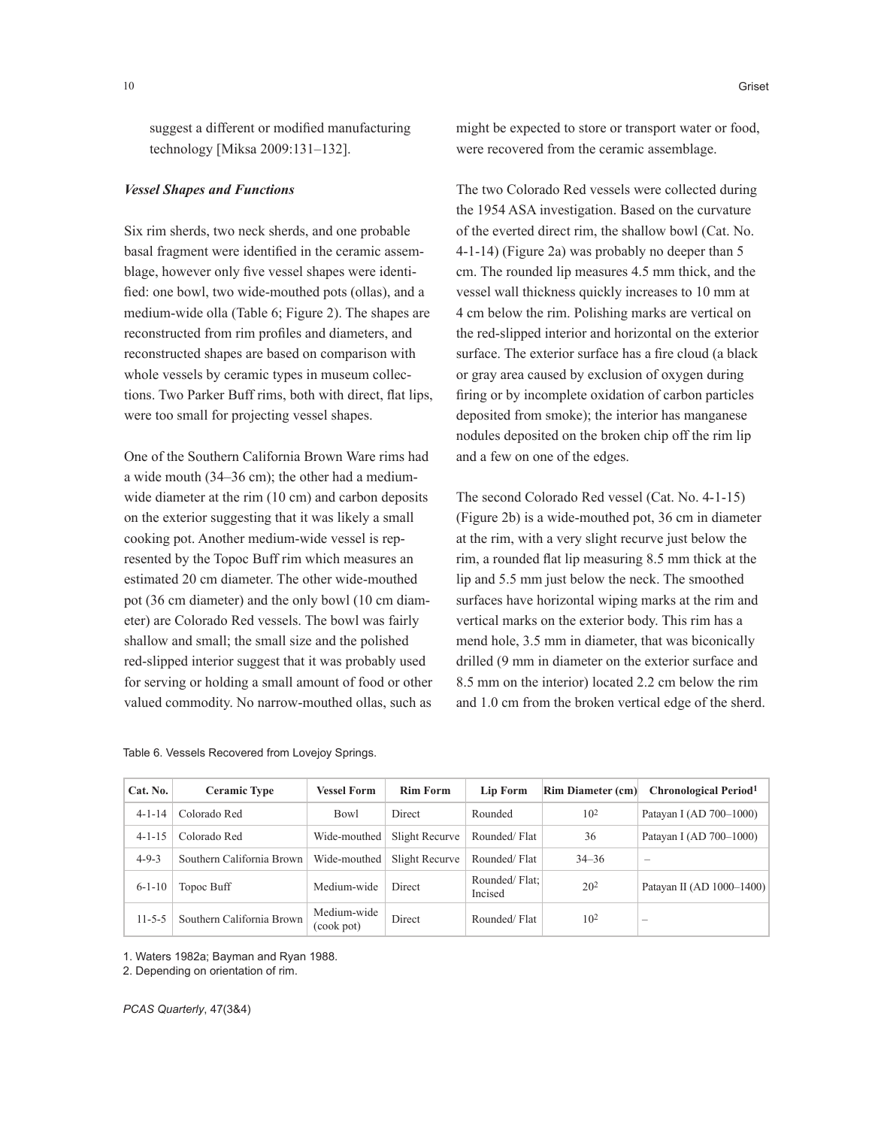suggest a different or modified manufacturing technology [Miksa 2009:131–132].

#### *Vessel Shapes and Functions*

Six rim sherds, two neck sherds, and one probable basal fragment were identified in the ceramic assemblage, however only five vessel shapes were identified: one bowl, two wide-mouthed pots (ollas), and a medium-wide olla (Table 6; Figure 2). The shapes are reconstructed from rim profiles and diameters, and reconstructed shapes are based on comparison with whole vessels by ceramic types in museum collections. Two Parker Buff rims, both with direct, flat lips, were too small for projecting vessel shapes.

One of the Southern California Brown Ware rims had a wide mouth (34–36 cm); the other had a mediumwide diameter at the rim  $(10 \text{ cm})$  and carbon deposits on the exterior suggesting that it was likely a small cooking pot. Another medium-wide vessel is represented by the Topoc Buff rim which measures an estimated 20 cm diameter. The other wide-mouthed pot (36 cm diameter) and the only bowl (10 cm diameter) are Colorado Red vessels. The bowl was fairly shallow and small; the small size and the polished red-slipped interior suggest that it was probably used for serving or holding a small amount of food or other valued commodity. No narrow-mouthed ollas, such as

10 Griset

might be expected to store or transport water or food, were recovered from the ceramic assemblage.

The two Colorado Red vessels were collected during the 1954 ASA investigation. Based on the curvature of the everted direct rim, the shallow bowl (Cat. No. 4-1-14) (Figure 2a) was probably no deeper than 5 cm. The rounded lip measures 4.5 mm thick, and the vessel wall thickness quickly increases to 10 mm at 4 cm below the rim. Polishing marks are vertical on the red-slipped interior and horizontal on the exterior surface. The exterior surface has a fire cloud (a black or gray area caused by exclusion of oxygen during firing or by incomplete oxidation of carbon particles deposited from smoke); the interior has manganese nodules deposited on the broken chip off the rim lip and a few on one of the edges.

The second Colorado Red vessel (Cat. No. 4-1-15) (Figure 2b) is a wide-mouthed pot, 36 cm in diameter at the rim, with a very slight recurve just below the rim, a rounded flat lip measuring 8.5 mm thick at the lip and 5.5 mm just below the neck. The smoothed surfaces have horizontal wiping marks at the rim and vertical marks on the exterior body. This rim has a mend hole, 3.5 mm in diameter, that was biconically drilled (9 mm in diameter on the exterior surface and 8.5 mm on the interior) located 2.2 cm below the rim and 1.0 cm from the broken vertical edge of the sherd.

| Cat. No.     | <b>Ceramic Type</b>       | <b>Vessel Form</b>        | <b>Rim Form</b> | Lip Form                 | <b>Rim Diameter (cm)</b> | <b>Chronological Period</b> <sup>1</sup> |
|--------------|---------------------------|---------------------------|-----------------|--------------------------|--------------------------|------------------------------------------|
| $4 - 1 - 14$ | Colorado Red              | <b>Bowl</b>               | Direct          | Rounded                  | 10 <sup>2</sup>          | Patayan I (AD 700-1000)                  |
| $4 - 1 - 15$ | Colorado Red              | Wide-mouthed              | Slight Recurve  | Rounded/Flat             | 36                       | Patayan I (AD 700-1000)                  |
| $4 - 9 - 3$  | Southern California Brown | Wide-mouthed              | Slight Recurve  | Rounded/Flat             | $34 - 36$                | $\overline{\phantom{0}}$                 |
| $6 - 1 - 10$ | Topoc Buff                | Medium-wide               | Direct          | Rounded/Flat:<br>Incised | 20 <sup>2</sup>          | Patayan II (AD 1000-1400)                |
| $11 - 5 - 5$ | Southern California Brown | Medium-wide<br>(cook pot) | Direct          | Rounded/Flat             | 10 <sup>2</sup>          | -                                        |

Table 6. Vessels Recovered from Lovejoy Springs.

1. Waters 1982a; Bayman and Ryan 1988.

2. Depending on orientation of rim.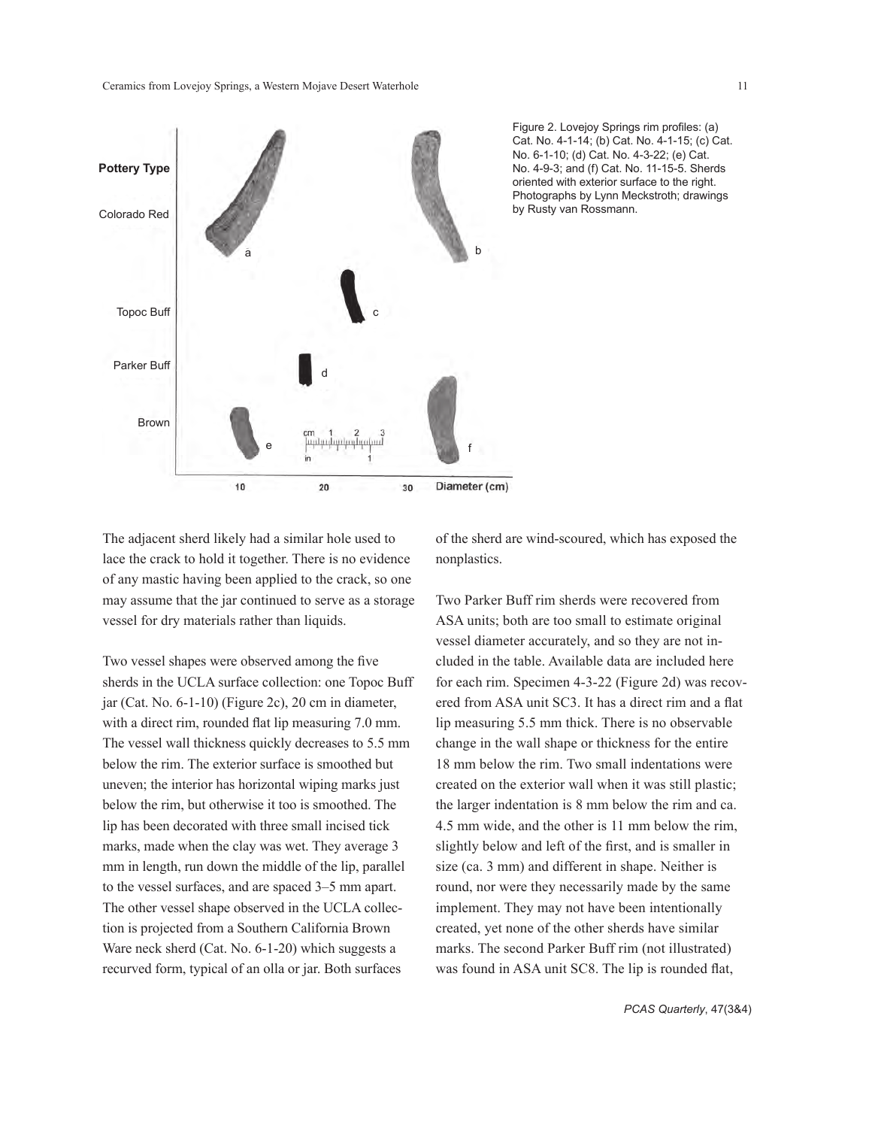

Figure 2. Lovejoy Springs rim profiles: (a) Cat. No. 4-1-14; (b) Cat. No. 4-1-15; (c) Cat. No. 6-1-10; (d) Cat. No. 4-3-22; (e) Cat. No. 4-9-3; and (f) Cat. No. 11-15-5. Sherds oriented with exterior surface to the right. Photographs by Lynn Meckstroth; drawings by Rusty van Rossmann.

The adjacent sherd likely had a similar hole used to lace the crack to hold it together. There is no evidence of any mastic having been applied to the crack, so one may assume that the jar continued to serve as a storage vessel for dry materials rather than liquids.

Two vessel shapes were observed among the five sherds in the UCLA surface collection: one Topoc Buff jar (Cat. No. 6-1-10) (Figure 2c), 20 cm in diameter, with a direct rim, rounded flat lip measuring 7.0 mm. The vessel wall thickness quickly decreases to 5.5 mm below the rim. The exterior surface is smoothed but uneven; the interior has horizontal wiping marks just below the rim, but otherwise it too is smoothed. The lip has been decorated with three small incised tick marks, made when the clay was wet. They average 3 mm in length, run down the middle of the lip, parallel to the vessel surfaces, and are spaced 3–5 mm apart. The other vessel shape observed in the UCLA collection is projected from a Southern California Brown Ware neck sherd (Cat. No. 6-1-20) which suggests a recurved form, typical of an olla or jar. Both surfaces

of the sherd are wind-scoured, which has exposed the nonplastics.

Two Parker Buff rim sherds were recovered from ASA units; both are too small to estimate original vessel diameter accurately, and so they are not included in the table. Available data are included here for each rim. Specimen 4-3-22 (Figure 2d) was recovered from ASA unit SC3. It has a direct rim and a flat lip measuring 5.5 mm thick. There is no observable change in the wall shape or thickness for the entire 18 mm below the rim. Two small indentations were created on the exterior wall when it was still plastic; the larger indentation is 8 mm below the rim and ca. 4.5 mm wide, and the other is 11 mm below the rim, slightly below and left of the first, and is smaller in size (ca. 3 mm) and different in shape. Neither is round, nor were they necessarily made by the same implement. They may not have been intentionally created, yet none of the other sherds have similar marks. The second Parker Buff rim (not illustrated) was found in ASA unit SC8. The lip is rounded flat,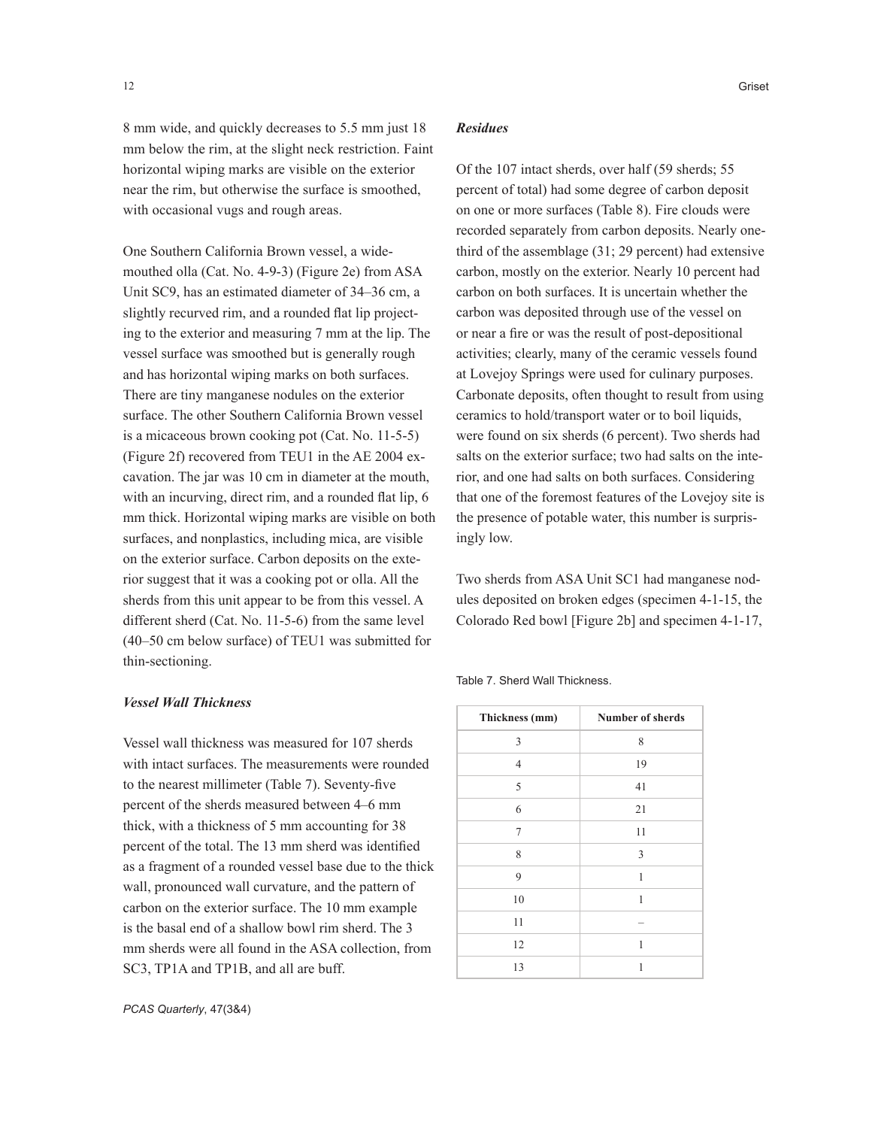8 mm wide, and quickly decreases to 5.5 mm just 18 mm below the rim, at the slight neck restriction. Faint horizontal wiping marks are visible on the exterior near the rim, but otherwise the surface is smoothed, with occasional vugs and rough areas.

One Southern California Brown vessel, a widemouthed olla (Cat. No. 4-9-3) (Figure 2e) from ASA Unit SC9, has an estimated diameter of 34–36 cm, a slightly recurved rim, and a rounded flat lip projecting to the exterior and measuring 7 mm at the lip. The vessel surface was smoothed but is generally rough and has horizontal wiping marks on both surfaces. There are tiny manganese nodules on the exterior surface. The other Southern California Brown vessel is a micaceous brown cooking pot (Cat. No. 11-5-5) (Figure 2f) recovered from TEU1 in the AE 2004 excavation. The jar was 10 cm in diameter at the mouth, with an incurving, direct rim, and a rounded flat lip, 6 mm thick. Horizontal wiping marks are visible on both surfaces, and nonplastics, including mica, are visible on the exterior surface. Carbon deposits on the exterior suggest that it was a cooking pot or olla. All the sherds from this unit appear to be from this vessel. A different sherd (Cat. No. 11-5-6) from the same level (40–50 cm below surface) of TEU1 was submitted for thin-sectioning.

#### *Vessel Wall Thickness*

Vessel wall thickness was measured for 107 sherds with intact surfaces. The measurements were rounded to the nearest millimeter (Table 7). Seventy-five percent of the sherds measured between 4–6 mm thick, with a thickness of 5 mm accounting for 38 percent of the total. The 13 mm sherd was identified as a fragment of a rounded vessel base due to the thick wall, pronounced wall curvature, and the pattern of carbon on the exterior surface. The 10 mm example is the basal end of a shallow bowl rim sherd. The 3 mm sherds were all found in the ASA collection, from SC3, TP1A and TP1B, and all are buff.

#### *Residues*

Of the 107 intact sherds, over half (59 sherds; 55 percent of total) had some degree of carbon deposit on one or more surfaces (Table 8). Fire clouds were recorded separately from carbon deposits. Nearly onethird of the assemblage (31; 29 percent) had extensive carbon, mostly on the exterior. Nearly 10 percent had carbon on both surfaces. It is uncertain whether the carbon was deposited through use of the vessel on or near a fire or was the result of post-depositional activities; clearly, many of the ceramic vessels found at Lovejoy Springs were used for culinary purposes. Carbonate deposits, often thought to result from using ceramics to hold/transport water or to boil liquids, were found on six sherds (6 percent). Two sherds had salts on the exterior surface; two had salts on the interior, and one had salts on both surfaces. Considering that one of the foremost features of the Lovejoy site is the presence of potable water, this number is surprisingly low.

Two sherds from ASA Unit SC1 had manganese nodules deposited on broken edges (specimen 4-1-15, the Colorado Red bowl [Figure 2b] and specimen 4-1-17,

Table 7. Sherd Wall Thickness.

| Thickness (mm) | Number of sherds |
|----------------|------------------|
| 3              | 8                |
| $\overline{4}$ | 19               |
| 5              | 41               |
| 6              | 21               |
| 7              | 11               |
| 8              | 3                |
| 9              | 1                |
| 10             | 1                |
| 11             |                  |
| 12             | 1                |
| 13             | 1                |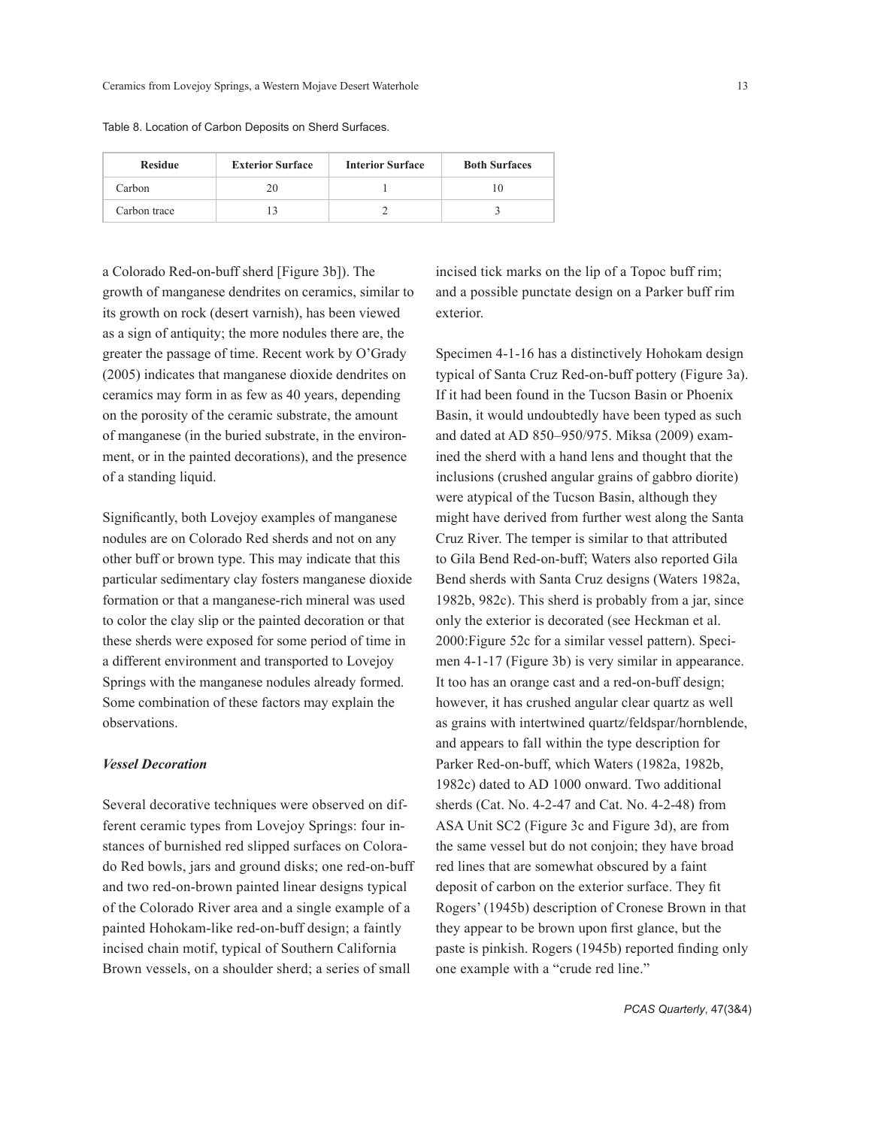| Table 8. Location of Carbon Deposits on Sherd Surfaces. |  |
|---------------------------------------------------------|--|
|---------------------------------------------------------|--|

| <b>Exterior Surface</b><br><b>Residue</b> |    | <b>Interior Surface</b> | <b>Both Surfaces</b> |  |
|-------------------------------------------|----|-------------------------|----------------------|--|
| Carbon                                    | 20 |                         |                      |  |
| Carbon trace                              |    |                         |                      |  |

a Colorado Red-on-buff sherd [Figure 3b]). The growth of manganese dendrites on ceramics, similar to its growth on rock (desert varnish), has been viewed as a sign of antiquity; the more nodules there are, the greater the passage of time. Recent work by O'Grady (2005) indicates that manganese dioxide dendrites on ceramics may form in as few as 40 years, depending on the porosity of the ceramic substrate, the amount of manganese (in the buried substrate, in the environment, or in the painted decorations), and the presence of a standing liquid.

Significantly, both Lovejoy examples of manganese nodules are on Colorado Red sherds and not on any other buff or brown type. This may indicate that this particular sedimentary clay fosters manganese dioxide formation or that a manganese-rich mineral was used to color the clay slip or the painted decoration or that these sherds were exposed for some period of time in a different environment and transported to Lovejoy Springs with the manganese nodules already formed. Some combination of these factors may explain the observations.

#### *Vessel Decoration*

Several decorative techniques were observed on different ceramic types from Lovejoy Springs: four instances of burnished red slipped surfaces on Colorado Red bowls, jars and ground disks; one red-on-buff and two red-on-brown painted linear designs typical of the Colorado River area and a single example of a painted Hohokam-like red-on-buff design; a faintly incised chain motif, typical of Southern California Brown vessels, on a shoulder sherd; a series of small

incised tick marks on the lip of a Topoc buff rim; and a possible punctate design on a Parker buff rim exterior.

Specimen 4-1-16 has a distinctively Hohokam design typical of Santa Cruz Red-on-buff pottery (Figure 3a). If it had been found in the Tucson Basin or Phoenix Basin, it would undoubtedly have been typed as such and dated at AD 850–950/975. Miksa (2009) examined the sherd with a hand lens and thought that the inclusions (crushed angular grains of gabbro diorite) were atypical of the Tucson Basin, although they might have derived from further west along the Santa Cruz River. The temper is similar to that attributed to Gila Bend Red-on-buff; Waters also reported Gila Bend sherds with Santa Cruz designs (Waters 1982a, 1982b, 982c). This sherd is probably from a jar, since only the exterior is decorated (see Heckman et al. 2000:Figure 52c for a similar vessel pattern). Specimen 4-1-17 (Figure 3b) is very similar in appearance. It too has an orange cast and a red-on-buff design; however, it has crushed angular clear quartz as well as grains with intertwined quartz/feldspar/hornblende, and appears to fall within the type description for Parker Red-on-buff, which Waters (1982a, 1982b, 1982c) dated to AD 1000 onward. Two additional sherds (Cat. No. 4-2-47 and Cat. No. 4-2-48) from ASA Unit SC2 (Figure 3c and Figure 3d), are from the same vessel but do not conjoin; they have broad red lines that are somewhat obscured by a faint deposit of carbon on the exterior surface. They fit Rogers' (1945b) description of Cronese Brown in that they appear to be brown upon first glance, but the paste is pinkish. Rogers (1945b) reported finding only one example with a "crude red line."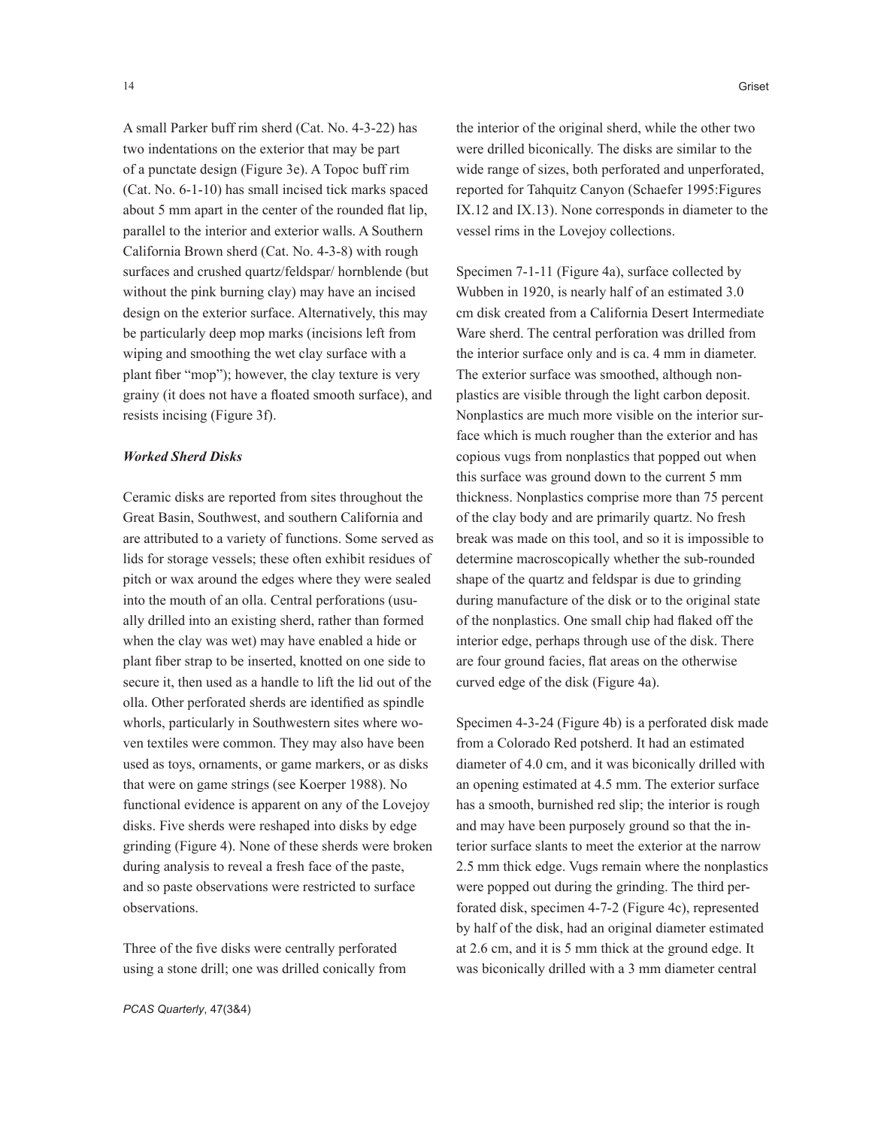A small Parker buff rim sherd (Cat. No. 4-3-22) has two indentations on the exterior that may be part of a punctate design (Figure 3e). A Topoc buff rim (Cat. No. 6-1-10) has small incised tick marks spaced about 5 mm apart in the center of the rounded flat lip, parallel to the interior and exterior walls. A Southern California Brown sherd (Cat. No. 4-3-8) with rough surfaces and crushed quartz/feldspar/ hornblende (but without the pink burning clay) may have an incised design on the exterior surface. Alternatively, this may be particularly deep mop marks (incisions left from wiping and smoothing the wet clay surface with a plant fiber "mop"); however, the clay texture is very grainy (it does not have a floated smooth surface), and resists incising (Figure 3f).

## *Worked Sherd Disks*

Ceramic disks are reported from sites throughout the Great Basin, Southwest, and southern California and are attributed to a variety of functions. Some served as lids for storage vessels; these often exhibit residues of pitch or wax around the edges where they were sealed into the mouth of an olla. Central perforations (usually drilled into an existing sherd, rather than formed when the clay was wet) may have enabled a hide or plant fiber strap to be inserted, knotted on one side to secure it, then used as a handle to lift the lid out of the olla. Other perforated sherds are identified as spindle whorls, particularly in Southwestern sites where woven textiles were common. They may also have been used as toys, ornaments, or game markers, or as disks that were on game strings (see Koerper 1988). No functional evidence is apparent on any of the Lovejoy disks. Five sherds were reshaped into disks by edge grinding (Figure 4). None of these sherds were broken during analysis to reveal a fresh face of the paste, and so paste observations were restricted to surface observations.

Three of the five disks were centrally perforated using a stone drill; one was drilled conically from the interior of the original sherd, while the other two were drilled biconically. The disks are similar to the wide range of sizes, both perforated and unperforated, reported for Tahquitz Canyon (Schaefer 1995:Figures IX.12 and IX.13). None corresponds in diameter to the vessel rims in the Lovejoy collections.

Specimen 7-1-11 (Figure 4a), surface collected by Wubben in 1920, is nearly half of an estimated 3.0 cm disk created from a California Desert Intermediate Ware sherd. The central perforation was drilled from the interior surface only and is ca. 4 mm in diameter. The exterior surface was smoothed, although nonplastics are visible through the light carbon deposit. Nonplastics are much more visible on the interior surface which is much rougher than the exterior and has copious vugs from nonplastics that popped out when this surface was ground down to the current 5 mm thickness. Nonplastics comprise more than 75 percent of the clay body and are primarily quartz. No fresh break was made on this tool, and so it is impossible to determine macroscopically whether the sub-rounded shape of the quartz and feldspar is due to grinding during manufacture of the disk or to the original state of the nonplastics. One small chip had flaked off the interior edge, perhaps through use of the disk. There are four ground facies, flat areas on the otherwise curved edge of the disk (Figure 4a).

Specimen 4-3-24 (Figure 4b) is a perforated disk made from a Colorado Red potsherd. It had an estimated diameter of 4.0 cm, and it was biconically drilled with an opening estimated at 4.5 mm. The exterior surface has a smooth, burnished red slip; the interior is rough and may have been purposely ground so that the interior surface slants to meet the exterior at the narrow 2.5 mm thick edge. Vugs remain where the nonplastics were popped out during the grinding. The third perforated disk, specimen 4-7-2 (Figure 4c), represented by half of the disk, had an original diameter estimated at 2.6 cm, and it is 5 mm thick at the ground edge. It was biconically drilled with a 3 mm diameter central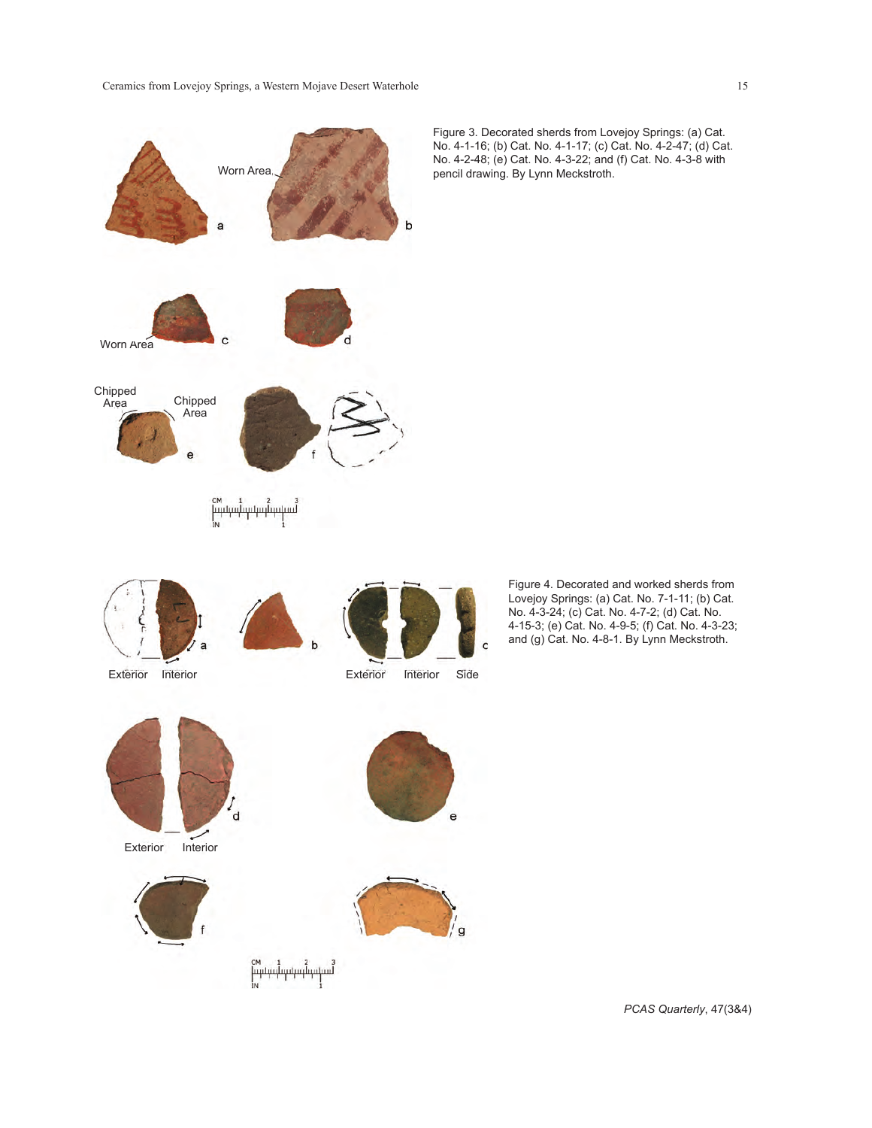

Figure 3. Decorated sherds from Lovejoy Springs: (a) Cat. No. 4-1-16; (b) Cat. No. 4-1-17; (c) Cat. No. 4-2-47; (d) Cat. No. 4-2-48; (e) Cat. No. 4-3-22; and (f) Cat. No. 4-3-8 with pencil drawing. By Lynn Meckstroth.

> Figure 4. Decorated and worked sherds from Lovejoy Springs: (a) Cat. No. 7-1-11; (b) Cat. No. 4-3-24; (c) Cat. No. 4-7-2; (d) Cat. No. 4-15-3; (e) Cat. No. 4-9-5; (f) Cat. No. 4-3-23; and (g) Cat. No. 4-8-1. By Lynn Meckstroth.

 $\epsilon$ 

*PCAS Quarterly*, 47(3&4)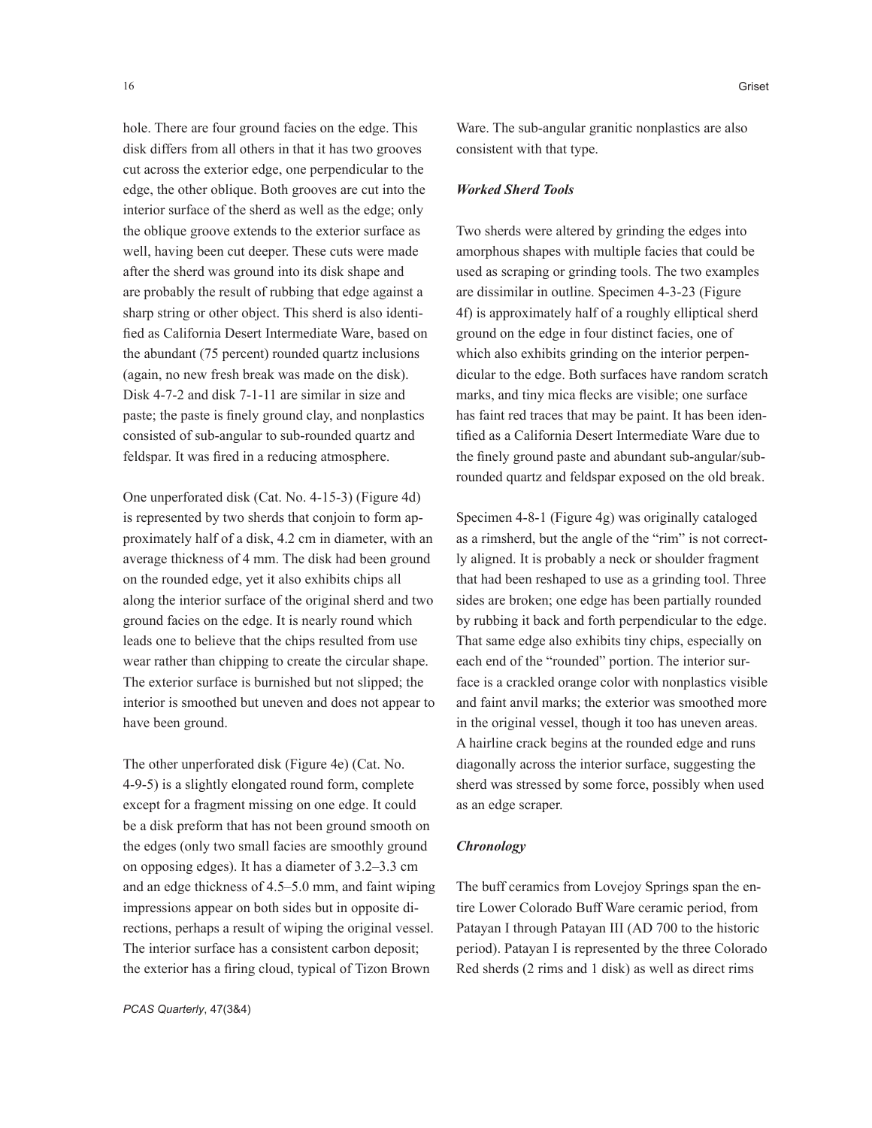hole. There are four ground facies on the edge. This disk differs from all others in that it has two grooves cut across the exterior edge, one perpendicular to the edge, the other oblique. Both grooves are cut into the interior surface of the sherd as well as the edge; only the oblique groove extends to the exterior surface as well, having been cut deeper. These cuts were made after the sherd was ground into its disk shape and are probably the result of rubbing that edge against a sharp string or other object. This sherd is also identified as California Desert Intermediate Ware, based on the abundant (75 percent) rounded quartz inclusions (again, no new fresh break was made on the disk). Disk 4-7-2 and disk 7-1-11 are similar in size and paste; the paste is finely ground clay, and nonplastics consisted of sub-angular to sub-rounded quartz and feldspar. It was fired in a reducing atmosphere.

One unperforated disk (Cat. No. 4-15-3) (Figure 4d) is represented by two sherds that conjoin to form approximately half of a disk, 4.2 cm in diameter, with an average thickness of 4 mm. The disk had been ground on the rounded edge, yet it also exhibits chips all along the interior surface of the original sherd and two ground facies on the edge. It is nearly round which leads one to believe that the chips resulted from use wear rather than chipping to create the circular shape. The exterior surface is burnished but not slipped; the interior is smoothed but uneven and does not appear to have been ground.

The other unperforated disk (Figure 4e) (Cat. No. 4-9-5) is a slightly elongated round form, complete except for a fragment missing on one edge. It could be a disk preform that has not been ground smooth on the edges (only two small facies are smoothly ground on opposing edges). It has a diameter of 3.2–3.3 cm and an edge thickness of 4.5–5.0 mm, and faint wiping impressions appear on both sides but in opposite directions, perhaps a result of wiping the original vessel. The interior surface has a consistent carbon deposit; the exterior has a firing cloud, typical of Tizon Brown

*PCAS Quarterly*, 47(3&4)

Ware. The sub-angular granitic nonplastics are also consistent with that type.

#### *Worked Sherd Tools*

Two sherds were altered by grinding the edges into amorphous shapes with multiple facies that could be used as scraping or grinding tools. The two examples are dissimilar in outline. Specimen 4-3-23 (Figure 4f) is approximately half of a roughly elliptical sherd ground on the edge in four distinct facies, one of which also exhibits grinding on the interior perpendicular to the edge. Both surfaces have random scratch marks, and tiny mica flecks are visible; one surface has faint red traces that may be paint. It has been identified as a California Desert Intermediate Ware due to the finely ground paste and abundant sub-angular/subrounded quartz and feldspar exposed on the old break.

Specimen 4-8-1 (Figure 4g) was originally cataloged as a rimsherd, but the angle of the "rim" is not correctly aligned. It is probably a neck or shoulder fragment that had been reshaped to use as a grinding tool. Three sides are broken; one edge has been partially rounded by rubbing it back and forth perpendicular to the edge. That same edge also exhibits tiny chips, especially on each end of the "rounded" portion. The interior surface is a crackled orange color with nonplastics visible and faint anvil marks; the exterior was smoothed more in the original vessel, though it too has uneven areas. A hairline crack begins at the rounded edge and runs diagonally across the interior surface, suggesting the sherd was stressed by some force, possibly when used as an edge scraper.

## *Chronology*

The buff ceramics from Lovejoy Springs span the entire Lower Colorado Buff Ware ceramic period, from Patayan I through Patayan III (AD 700 to the historic period). Patayan I is represented by the three Colorado Red sherds (2 rims and 1 disk) as well as direct rims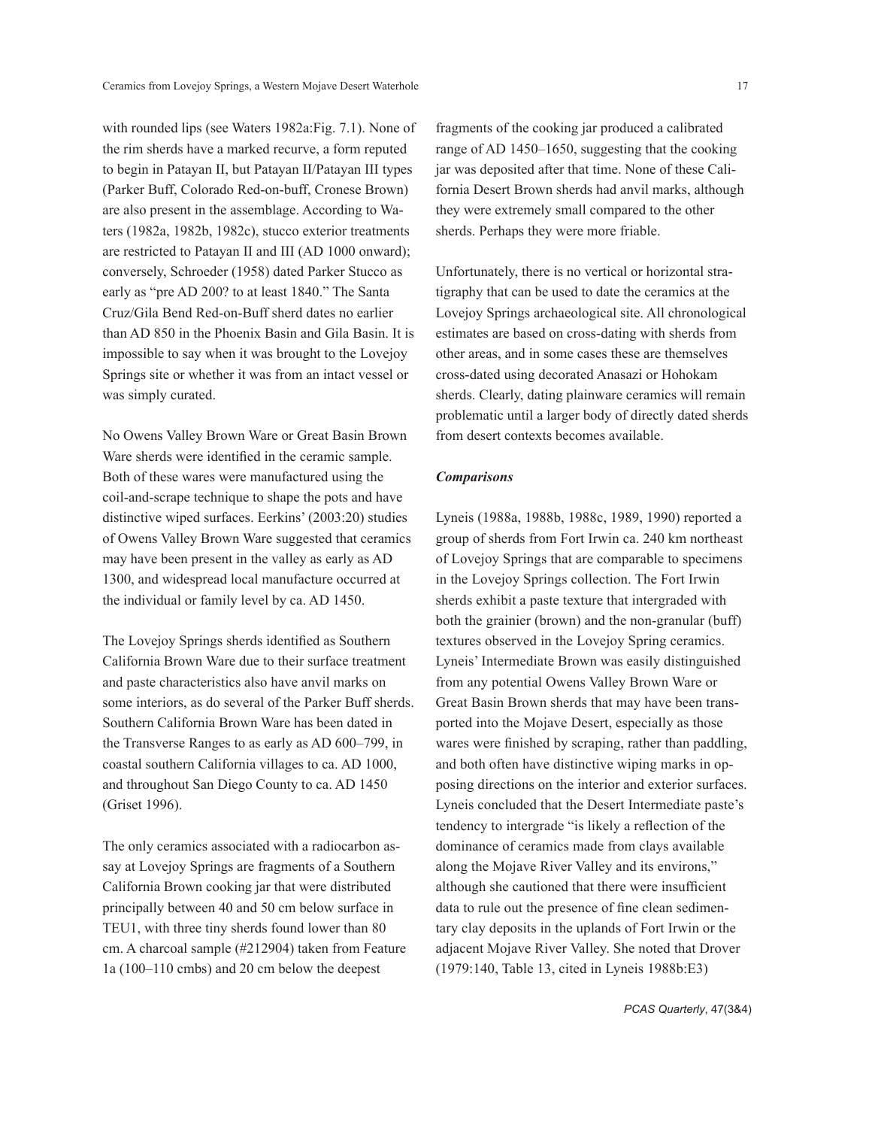with rounded lips (see Waters 1982a:Fig. 7.1). None of the rim sherds have a marked recurve, a form reputed to begin in Patayan II, but Patayan II/Patayan III types (Parker Buff, Colorado Red-on-buff, Cronese Brown) are also present in the assemblage. According to Waters (1982a, 1982b, 1982c), stucco exterior treatments are restricted to Patayan II and III (AD 1000 onward); conversely, Schroeder (1958) dated Parker Stucco as early as "pre AD 200? to at least 1840." The Santa Cruz/Gila Bend Red-on-Buff sherd dates no earlier than AD 850 in the Phoenix Basin and Gila Basin. It is impossible to say when it was brought to the Lovejoy Springs site or whether it was from an intact vessel or was simply curated.

No Owens Valley Brown Ware or Great Basin Brown Ware sherds were identified in the ceramic sample. Both of these wares were manufactured using the coil-and-scrape technique to shape the pots and have distinctive wiped surfaces. Eerkins' (2003:20) studies of Owens Valley Brown Ware suggested that ceramics may have been present in the valley as early as AD 1300, and widespread local manufacture occurred at the individual or family level by ca. AD 1450.

The Lovejoy Springs sherds identified as Southern California Brown Ware due to their surface treatment and paste characteristics also have anvil marks on some interiors, as do several of the Parker Buff sherds. Southern California Brown Ware has been dated in the Transverse Ranges to as early as AD 600–799, in coastal southern California villages to ca. AD 1000, and throughout San Diego County to ca. AD 1450 (Griset 1996).

The only ceramics associated with a radiocarbon assay at Lovejoy Springs are fragments of a Southern California Brown cooking jar that were distributed principally between 40 and 50 cm below surface in TEU1, with three tiny sherds found lower than 80 cm. A charcoal sample (#212904) taken from Feature 1a (100–110 cmbs) and 20 cm below the deepest

fragments of the cooking jar produced a calibrated range of AD 1450–1650, suggesting that the cooking jar was deposited after that time. None of these California Desert Brown sherds had anvil marks, although they were extremely small compared to the other sherds. Perhaps they were more friable.

Unfortunately, there is no vertical or horizontal stratigraphy that can be used to date the ceramics at the Lovejoy Springs archaeological site. All chronological estimates are based on cross-dating with sherds from other areas, and in some cases these are themselves cross-dated using decorated Anasazi or Hohokam sherds. Clearly, dating plainware ceramics will remain problematic until a larger body of directly dated sherds from desert contexts becomes available.

## *Comparisons*

Lyneis (1988a, 1988b, 1988c, 1989, 1990) reported a group of sherds from Fort Irwin ca. 240 km northeast of Lovejoy Springs that are comparable to specimens in the Lovejoy Springs collection. The Fort Irwin sherds exhibit a paste texture that intergraded with both the grainier (brown) and the non-granular (buff) textures observed in the Lovejoy Spring ceramics. Lyneis' Intermediate Brown was easily distinguished from any potential Owens Valley Brown Ware or Great Basin Brown sherds that may have been transported into the Mojave Desert, especially as those wares were finished by scraping, rather than paddling, and both often have distinctive wiping marks in opposing directions on the interior and exterior surfaces. Lyneis concluded that the Desert Intermediate paste's tendency to intergrade "is likely a reflection of the dominance of ceramics made from clays available along the Mojave River Valley and its environs," although she cautioned that there were insufficient data to rule out the presence of fine clean sedimentary clay deposits in the uplands of Fort Irwin or the adjacent Mojave River Valley. She noted that Drover (1979:140, Table 13, cited in Lyneis 1988b:E3)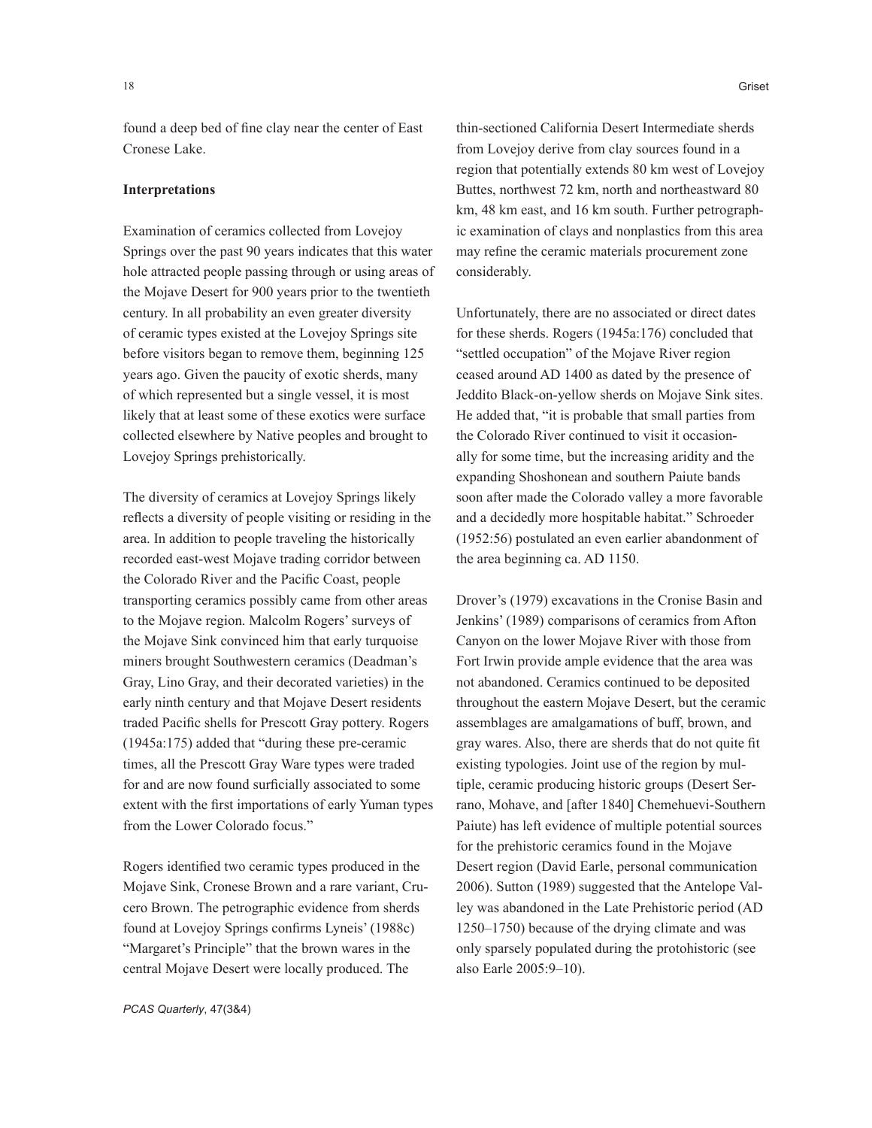found a deep bed of fine clay near the center of East Cronese Lake.

#### **Interpretations**

Examination of ceramics collected from Lovejoy Springs over the past 90 years indicates that this water hole attracted people passing through or using areas of the Mojave Desert for 900 years prior to the twentieth century. In all probability an even greater diversity of ceramic types existed at the Lovejoy Springs site before visitors began to remove them, beginning 125 years ago. Given the paucity of exotic sherds, many of which represented but a single vessel, it is most likely that at least some of these exotics were surface collected elsewhere by Native peoples and brought to Lovejoy Springs prehistorically.

The diversity of ceramics at Lovejoy Springs likely reflects a diversity of people visiting or residing in the area. In addition to people traveling the historically recorded east-west Mojave trading corridor between the Colorado River and the Pacific Coast, people transporting ceramics possibly came from other areas to the Mojave region. Malcolm Rogers' surveys of the Mojave Sink convinced him that early turquoise miners brought Southwestern ceramics (Deadman's Gray, Lino Gray, and their decorated varieties) in the early ninth century and that Mojave Desert residents traded Pacific shells for Prescott Gray pottery. Rogers (1945a:175) added that "during these pre-ceramic times, all the Prescott Gray Ware types were traded for and are now found surficially associated to some extent with the first importations of early Yuman types from the Lower Colorado focus."

Rogers identified two ceramic types produced in the Mojave Sink, Cronese Brown and a rare variant, Crucero Brown. The petrographic evidence from sherds found at Lovejoy Springs confirms Lyneis' (1988c) "Margaret's Principle" that the brown wares in the central Mojave Desert were locally produced. The

thin-sectioned California Desert Intermediate sherds from Lovejoy derive from clay sources found in a region that potentially extends 80 km west of Lovejoy Buttes, northwest 72 km, north and northeastward 80 km, 48 km east, and 16 km south. Further petrographic examination of clays and nonplastics from this area may refine the ceramic materials procurement zone considerably.

Unfortunately, there are no associated or direct dates for these sherds. Rogers (1945a:176) concluded that "settled occupation" of the Mojave River region ceased around AD 1400 as dated by the presence of Jeddito Black-on-yellow sherds on Mojave Sink sites. He added that, "it is probable that small parties from the Colorado River continued to visit it occasionally for some time, but the increasing aridity and the expanding Shoshonean and southern Paiute bands soon after made the Colorado valley a more favorable and a decidedly more hospitable habitat." Schroeder (1952:56) postulated an even earlier abandonment of the area beginning ca. AD 1150.

Drover's (1979) excavations in the Cronise Basin and Jenkins' (1989) comparisons of ceramics from Afton Canyon on the lower Mojave River with those from Fort Irwin provide ample evidence that the area was not abandoned. Ceramics continued to be deposited throughout the eastern Mojave Desert, but the ceramic assemblages are amalgamations of buff, brown, and gray wares. Also, there are sherds that do not quite fit existing typologies. Joint use of the region by multiple, ceramic producing historic groups (Desert Serrano, Mohave, and [after 1840] Chemehuevi-Southern Paiute) has left evidence of multiple potential sources for the prehistoric ceramics found in the Mojave Desert region (David Earle, personal communication 2006). Sutton (1989) suggested that the Antelope Valley was abandoned in the Late Prehistoric period (AD 1250–1750) because of the drying climate and was only sparsely populated during the protohistoric (see also Earle 2005:9–10).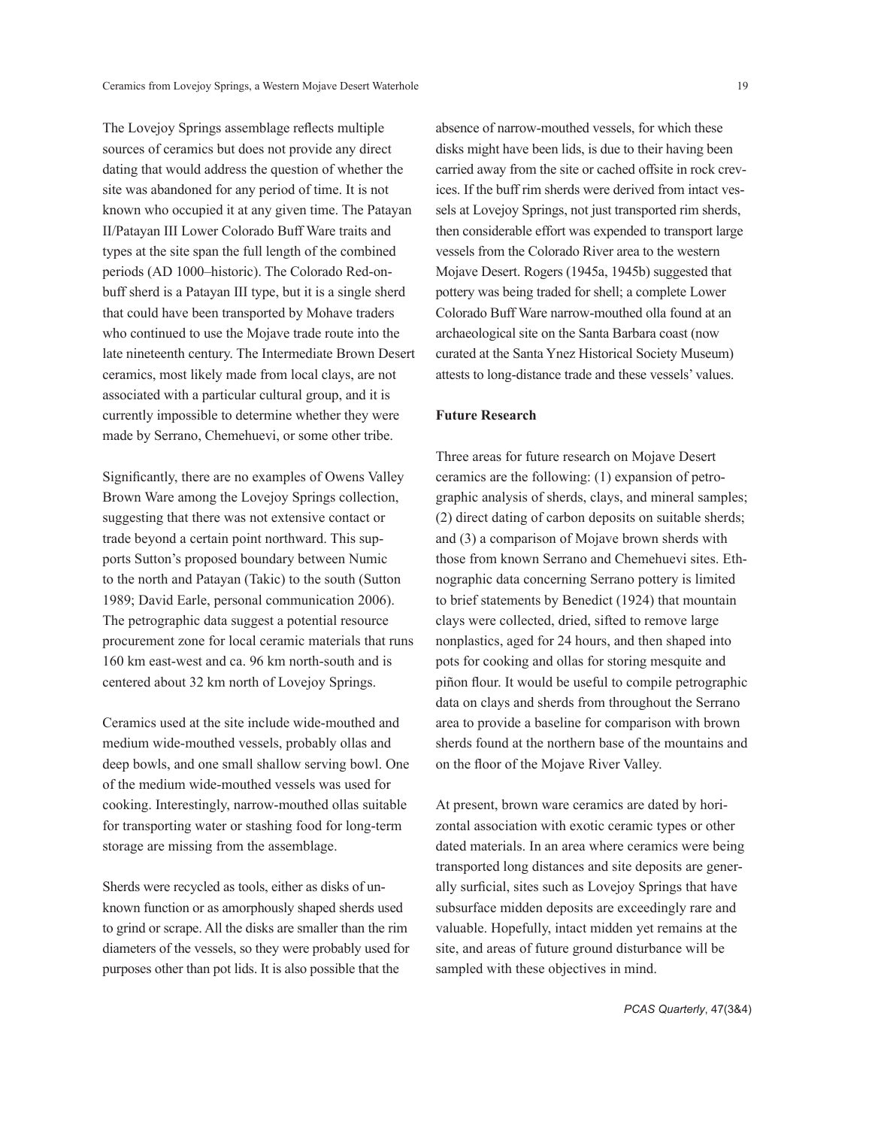The Lovejoy Springs assemblage reflects multiple sources of ceramics but does not provide any direct dating that would address the question of whether the site was abandoned for any period of time. It is not known who occupied it at any given time. The Patayan II/Patayan III Lower Colorado Buff Ware traits and types at the site span the full length of the combined periods (AD 1000–historic). The Colorado Red-onbuff sherd is a Patayan III type, but it is a single sherd that could have been transported by Mohave traders who continued to use the Mojave trade route into the late nineteenth century. The Intermediate Brown Desert ceramics, most likely made from local clays, are not associated with a particular cultural group, and it is currently impossible to determine whether they were made by Serrano, Chemehuevi, or some other tribe.

Significantly, there are no examples of Owens Valley Brown Ware among the Lovejoy Springs collection, suggesting that there was not extensive contact or trade beyond a certain point northward. This supports Sutton's proposed boundary between Numic to the north and Patayan (Takic) to the south (Sutton 1989; David Earle, personal communication 2006). The petrographic data suggest a potential resource procurement zone for local ceramic materials that runs 160 km east-west and ca. 96 km north-south and is centered about 32 km north of Lovejoy Springs.

Ceramics used at the site include wide-mouthed and medium wide-mouthed vessels, probably ollas and deep bowls, and one small shallow serving bowl. One of the medium wide-mouthed vessels was used for cooking. Interestingly, narrow-mouthed ollas suitable for transporting water or stashing food for long-term storage are missing from the assemblage.

Sherds were recycled as tools, either as disks of unknown function or as amorphously shaped sherds used to grind or scrape. All the disks are smaller than the rim diameters of the vessels, so they were probably used for purposes other than pot lids. It is also possible that the

absence of narrow-mouthed vessels, for which these disks might have been lids, is due to their having been carried away from the site or cached offsite in rock crevices. If the buff rim sherds were derived from intact vessels at Lovejoy Springs, not just transported rim sherds, then considerable effort was expended to transport large vessels from the Colorado River area to the western Mojave Desert. Rogers (1945a, 1945b) suggested that pottery was being traded for shell; a complete Lower Colorado Buff Ware narrow-mouthed olla found at an archaeological site on the Santa Barbara coast (now curated at the Santa Ynez Historical Society Museum) attests to long-distance trade and these vessels' values.

## **Future Research**

Three areas for future research on Mojave Desert ceramics are the following: (1) expansion of petrographic analysis of sherds, clays, and mineral samples; (2) direct dating of carbon deposits on suitable sherds; and (3) a comparison of Mojave brown sherds with those from known Serrano and Chemehuevi sites. Ethnographic data concerning Serrano pottery is limited to brief statements by Benedict (1924) that mountain clays were collected, dried, sifted to remove large nonplastics, aged for 24 hours, and then shaped into pots for cooking and ollas for storing mesquite and piñon flour. It would be useful to compile petrographic data on clays and sherds from throughout the Serrano area to provide a baseline for comparison with brown sherds found at the northern base of the mountains and on the floor of the Mojave River Valley.

At present, brown ware ceramics are dated by horizontal association with exotic ceramic types or other dated materials. In an area where ceramics were being transported long distances and site deposits are generally surficial, sites such as Lovejoy Springs that have subsurface midden deposits are exceedingly rare and valuable. Hopefully, intact midden yet remains at the site, and areas of future ground disturbance will be sampled with these objectives in mind.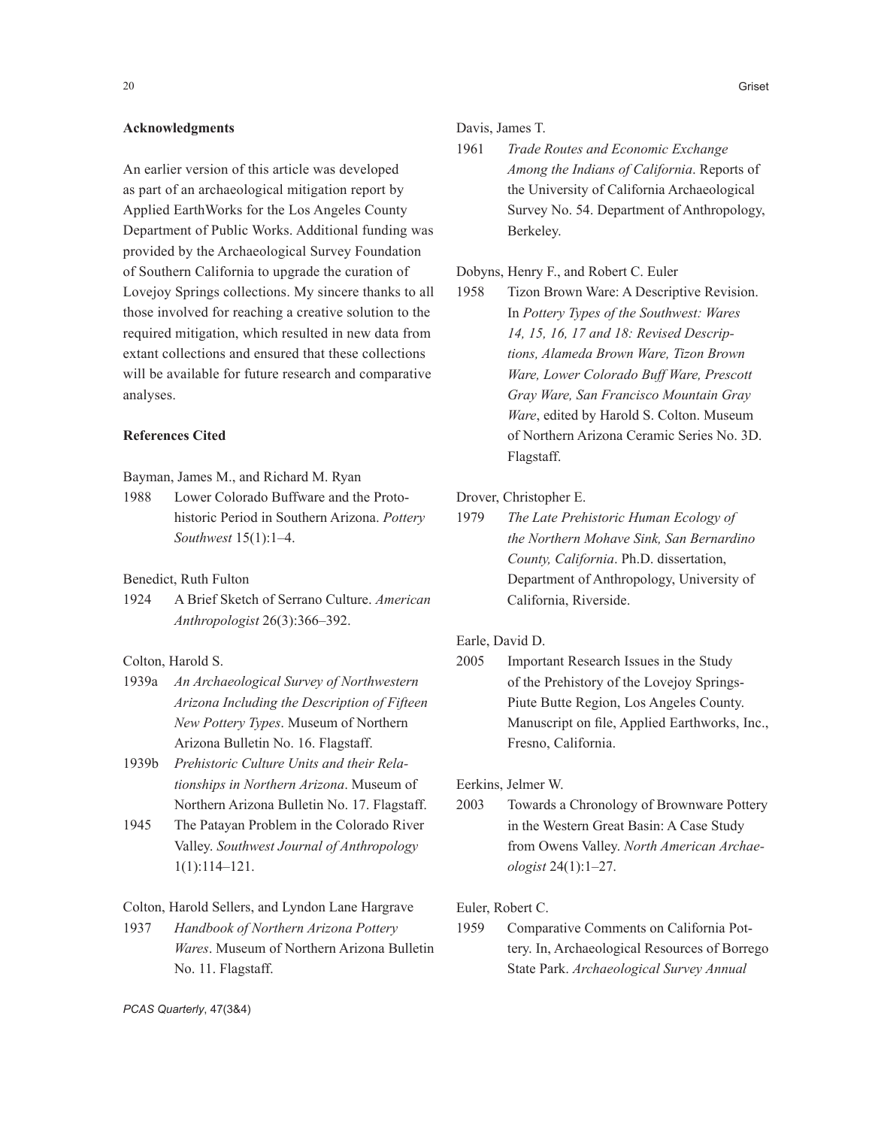## **Acknowledgments**

An earlier version of this article was developed as part of an archaeological mitigation report by Applied EarthWorks for the Los Angeles County Department of Public Works. Additional funding was provided by the Archaeological Survey Foundation of Southern California to upgrade the curation of Lovejoy Springs collections. My sincere thanks to all those involved for reaching a creative solution to the required mitigation, which resulted in new data from extant collections and ensured that these collections will be available for future research and comparative analyses.

## **References Cited**

Bayman, James M., and Richard M. Ryan

1988 Lower Colorado Buffware and the Protohistoric Period in Southern Arizona. *Pottery Southwest* 15(1):1–4.

## Benedict, Ruth Fulton

1924 A Brief Sketch of Serrano Culture. *American Anthropologist* 26(3):366–392.

Colton, Harold S.

- 1939a *An Archaeological Survey of Northwestern Arizona Including the Description of Fifteen New Pottery Types*. Museum of Northern Arizona Bulletin No. 16. Flagstaff.
- 1939b *Prehistoric Culture Units and their Relationships in Northern Arizona*. Museum of Northern Arizona Bulletin No. 17. Flagstaff.
- 1945 The Patayan Problem in the Colorado River Valley. *Southwest Journal of Anthropology* 1(1):114–121.

Colton, Harold Sellers, and Lyndon Lane Hargrave

1937 *Handbook of Northern Arizona Pottery Wares*. Museum of Northern Arizona Bulletin No. 11. Flagstaff.

Davis, James T.

1961 *Trade Routes and Economic Exchange Among the Indians of California*. Reports of the University of California Archaeological Survey No. 54. Department of Anthropology, Berkeley.

Dobyns, Henry F., and Robert C. Euler

1958 Tizon Brown Ware: A Descriptive Revision. In *Pottery Types of the Southwest: Wares 14, 15, 16, 17 and 18: Revised Descriptions, Alameda Brown Ware, Tizon Brown Ware, Lower Colorado Buff Ware, Prescott Gray Ware, San Francisco Mountain Gray Ware*, edited by Harold S. Colton. Museum of Northern Arizona Ceramic Series No. 3D. Flagstaff.

Drover, Christopher E.

1979 *The Late Prehistoric Human Ecology of the Northern Mohave Sink, San Bernardino County, California*. Ph.D. dissertation, Department of Anthropology, University of California, Riverside.

Earle, David D.

2005 Important Research Issues in the Study of the Prehistory of the Lovejoy Springs-Piute Butte Region, Los Angeles County. Manuscript on file, Applied Earthworks, Inc., Fresno, California.

Eerkins, Jelmer W.

2003 Towards a Chronology of Brownware Pottery in the Western Great Basin: A Case Study from Owens Valley. *North American Archaeologist* 24(1):1–27.

Euler, Robert C.

1959 Comparative Comments on California Pottery. In, Archaeological Resources of Borrego State Park. *Archaeological Survey Annual* 

*PCAS Quarterly*, 47(3&4)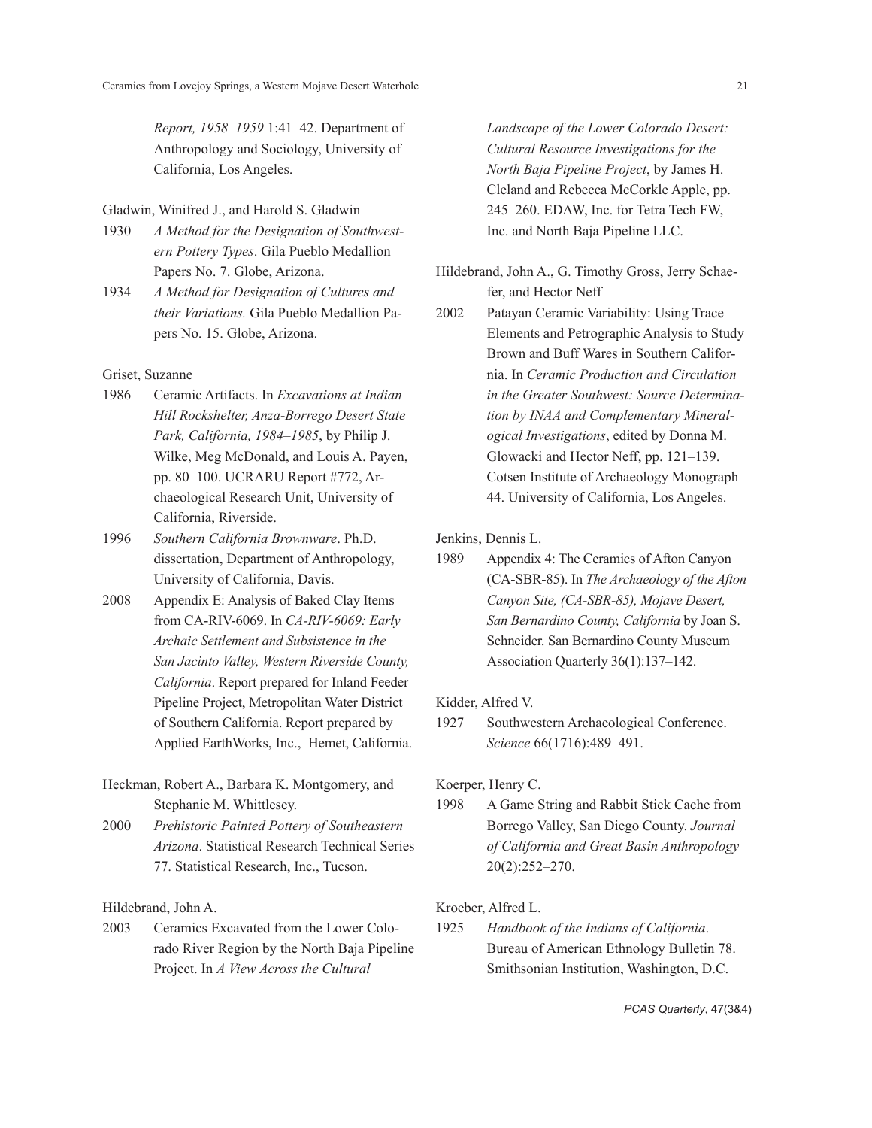*Report, 1958–1959* 1:41–42. Department of Anthropology and Sociology, University of California, Los Angeles.

## Gladwin, Winifred J., and Harold S. Gladwin

- 1930 *A Method for the Designation of Southwestern Pottery Types*. Gila Pueblo Medallion Papers No. 7. Globe, Arizona.
- 1934 *A Method for Designation of Cultures and their Variations.* Gila Pueblo Medallion Papers No. 15. Globe, Arizona.

## Griset, Suzanne

- 1986 Ceramic Artifacts. In *Excavations at Indian Hill Rockshelter, Anza-Borrego Desert State Park, California, 1984–1985*, by Philip J. Wilke, Meg McDonald, and Louis A. Payen, pp. 80–100. UCRARU Report #772, Archaeological Research Unit, University of California, Riverside.
- 1996 *Southern California Brownware*. Ph.D. dissertation, Department of Anthropology, University of California, Davis.
- 2008 Appendix E: Analysis of Baked Clay Items from CA-RIV-6069. In *CA-RIV-6069: Early Archaic Settlement and Subsistence in the San Jacinto Valley, Western Riverside County, California*. Report prepared for Inland Feeder Pipeline Project, Metropolitan Water District of Southern California. Report prepared by Applied EarthWorks, Inc., Hemet, California.
- Heckman, Robert A., Barbara K. Montgomery, and Stephanie M. Whittlesey.
- 2000 *Prehistoric Painted Pottery of Southeastern Arizona*. Statistical Research Technical Series 77. Statistical Research, Inc., Tucson.

Hildebrand, John A.

2003 Ceramics Excavated from the Lower Colorado River Region by the North Baja Pipeline Project. In *A View Across the Cultural* 

*Landscape of the Lower Colorado Desert: Cultural Resource Investigations for the North Baja Pipeline Project*, by James H. Cleland and Rebecca McCorkle Apple, pp. 245–260. EDAW, Inc. for Tetra Tech FW, Inc. and North Baja Pipeline LLC.

- Hildebrand, John A., G. Timothy Gross, Jerry Schaefer, and Hector Neff
- 2002 Patayan Ceramic Variability: Using Trace Elements and Petrographic Analysis to Study Brown and Buff Wares in Southern California. In *Ceramic Production and Circulation in the Greater Southwest: Source Determination by INAA and Complementary Mineralogical Investigations*, edited by Donna M. Glowacki and Hector Neff, pp. 121–139. Cotsen Institute of Archaeology Monograph 44. University of California, Los Angeles.

Jenkins, Dennis L.

1989 Appendix 4: The Ceramics of Afton Canyon (CA-SBR-85). In *The Archaeology of the Afton Canyon Site, (CA-SBR-85), Mojave Desert, San Bernardino County, California* by Joan S. Schneider. San Bernardino County Museum Association Quarterly 36(1):137–142.

Kidder, Alfred V.

1927 Southwestern Archaeological Conference. *Science* 66(1716):489–491.

Koerper, Henry C.

1998 A Game String and Rabbit Stick Cache from Borrego Valley, San Diego County. *Journal of California and Great Basin Anthropology* 20(2):252–270.

## Kroeber, Alfred L.

1925 *Handbook of the Indians of California*. Bureau of American Ethnology Bulletin 78. Smithsonian Institution, Washington, D.C.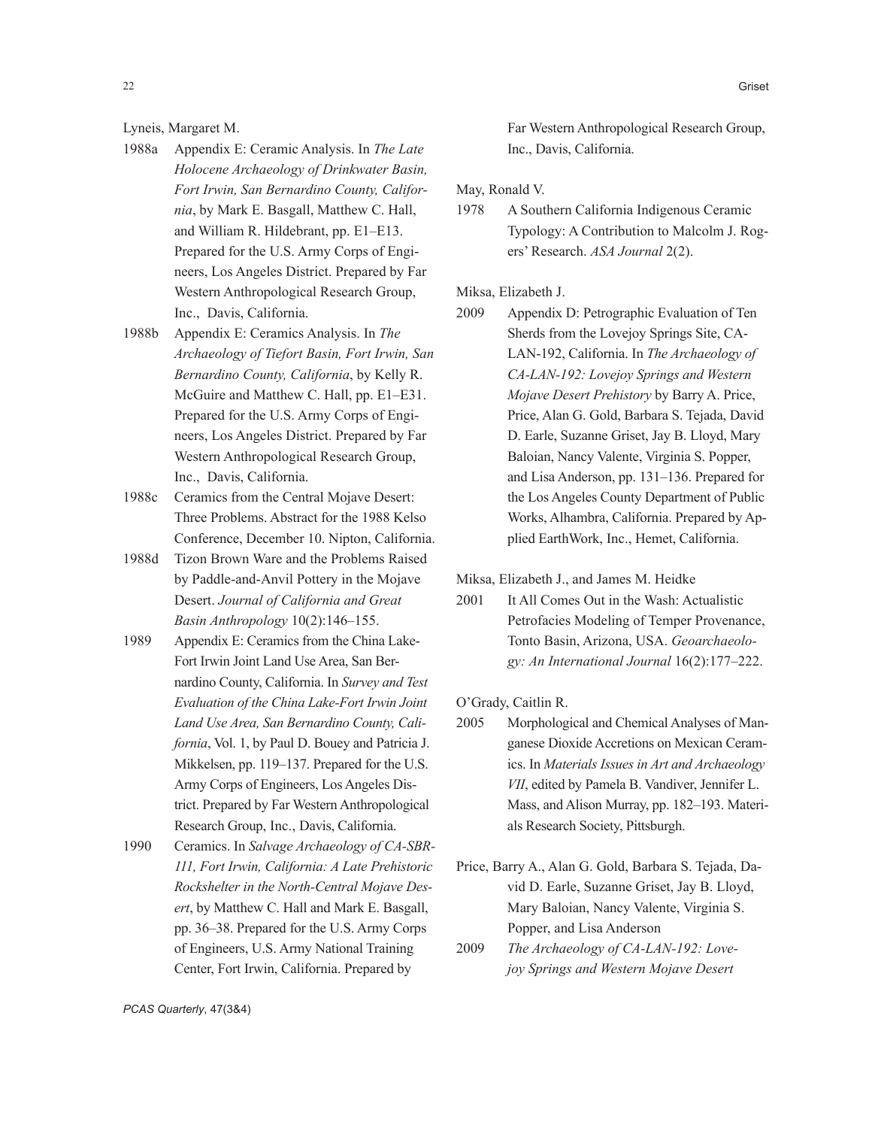Lyneis, Margaret M.

- 1988a Appendix E: Ceramic Analysis. In *The Late Holocene Archaeology of Drinkwater Basin, Fort Irwin, San Bernardino County, California*, by Mark E. Basgall, Matthew C. Hall, and William R. Hildebrant, pp. E1–E13. Prepared for the U.S. Army Corps of Engineers, Los Angeles District. Prepared by Far Western Anthropological Research Group, Inc., Davis, California.
- 1988b Appendix E: Ceramics Analysis. In *The Archaeology of Tiefort Basin, Fort Irwin, San Bernardino County, California*, by Kelly R. McGuire and Matthew C. Hall, pp. E1–E31. Prepared for the U.S. Army Corps of Engineers, Los Angeles District. Prepared by Far Western Anthropological Research Group, Inc., Davis, California.
- 1988c Ceramics from the Central Mojave Desert: Three Problems. Abstract for the 1988 Kelso Conference, December 10. Nipton, California.
- 1988d Tizon Brown Ware and the Problems Raised by Paddle-and-Anvil Pottery in the Mojave Desert. *Journal of California and Great Basin Anthropology* 10(2):146–155.
- 1989 Appendix E: Ceramics from the China Lake-Fort Irwin Joint Land Use Area, San Bernardino County, California. In *Survey and Test Evaluation of the China Lake-Fort Irwin Joint Land Use Area, San Bernardino County, California*, Vol. 1, by Paul D. Bouey and Patricia J. Mikkelsen, pp. 119–137. Prepared for the U.S. Army Corps of Engineers, Los Angeles District. Prepared by Far Western Anthropological Research Group, Inc., Davis, California.
- 1990 Ceramics. In *Salvage Archaeology of CA-SBR-111, Fort Irwin, California: A Late Prehistoric Rockshelter in the North-Central Mojave Desert*, by Matthew C. Hall and Mark E. Basgall, pp. 36–38. Prepared for the U.S. Army Corps of Engineers, U.S. Army National Training Center, Fort Irwin, California. Prepared by

Far Western Anthropological Research Group, Inc., Davis, California.

May, Ronald V.

1978 A Southern California Indigenous Ceramic Typology: A Contribution to Malcolm J. Rogers' Research. *ASA Journal* 2(2).

Miksa, Elizabeth J.

2009 Appendix D: Petrographic Evaluation of Ten Sherds from the Lovejoy Springs Site, CA-LAN-192, California. In *The Archaeology of CA-LAN-192: Lovejoy Springs and Western Mojave Desert Prehistory* by Barry A. Price, Price, Alan G. Gold, Barbara S. Tejada, David D. Earle, Suzanne Griset, Jay B. Lloyd, Mary Baloian, Nancy Valente, Virginia S. Popper, and Lisa Anderson, pp. 131–136. Prepared for the Los Angeles County Department of Public Works, Alhambra, California. Prepared by Applied EarthWork, Inc., Hemet, California.

Miksa, Elizabeth J., and James M. Heidke

2001 It All Comes Out in the Wash: Actualistic Petrofacies Modeling of Temper Provenance, Tonto Basin, Arizona, USA. *Geoarchaeology: An International Journal* 16(2):177–222.

O'Grady, Caitlin R.

- 2005 Morphological and Chemical Analyses of Manganese Dioxide Accretions on Mexican Ceramics. In *Materials Issues in Art and Archaeology VII*, edited by Pamela B. Vandiver, Jennifer L. Mass, and Alison Murray, pp. 182–193. Materials Research Society, Pittsburgh.
- Price, Barry A., Alan G. Gold, Barbara S. Tejada, David D. Earle, Suzanne Griset, Jay B. Lloyd, Mary Baloian, Nancy Valente, Virginia S. Popper, and Lisa Anderson
- 2009 *The Archaeology of CA-LAN-192: Lovejoy Springs and Western Mojave Desert*

*PCAS Quarterly*, 47(3&4)